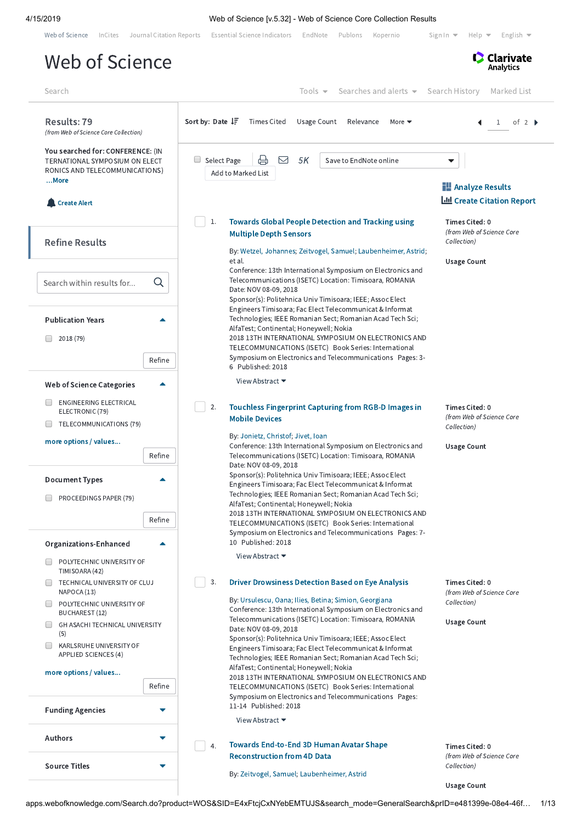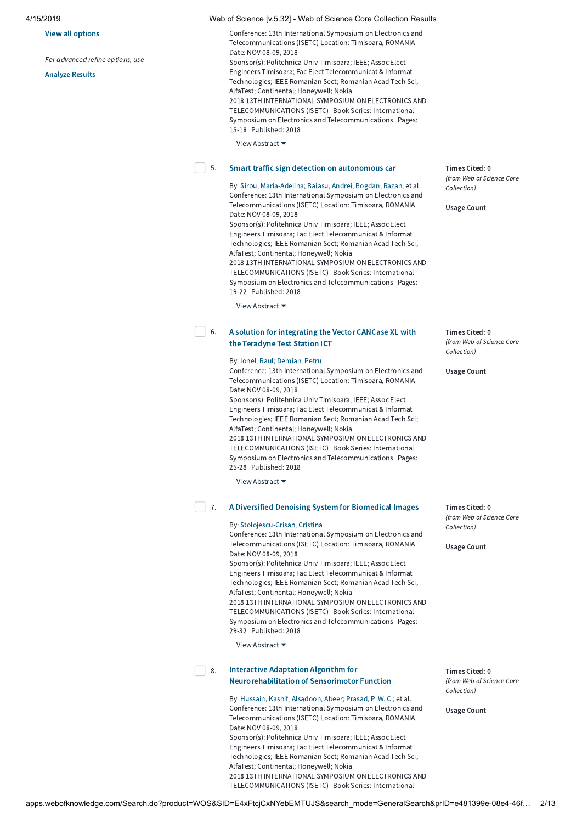### View all options

For advanced refine options, use

[Analyze](http://apps.webofknowledge.com/OutboundService.do?action=go&mode=raService&queryOption(summary_search_mode)=GeneralSearch&SID=E4xFtcjCxNYebEMTUJS&product=WOS&parentProduct=WOS&parentQid=13&colName=WOS&MARKEDLIST=0) Results

| Conference: 13th International Symposium on Electronics and |
|-------------------------------------------------------------|
| Telecommunications (ISETC) Location: Timisoara, ROMANIA     |
| Date: NOV 08-09, 2018                                       |
| Sponsor(s): Politehnica Univ Timisoara; IEEE; Assoc Elect   |
| Engineers Timisoara; Fac Elect Telecommunicat & Informat    |
| Technologies; IEEE Romanian Sect; Romanian Acad Tech Sci;   |
| AlfaTest; Continental; Honeywell; Nokia                     |
| 2018 13TH INTERNATIONAL SYMPOSIUM ON ELECTRONICS AND        |
| TELECOMMUNICATIONS (ISETC) Book Series: International       |
| Symposium on Electronics and Telecommunications Pages:      |
| 15-18 Published: 2018                                       |
| View Abstract $\blacktriangleright$                         |

View Abstract

#### Smart traffic sign detection on [autonomous](http://apps.webofknowledge.com/full_record.do?product=WOS&search_mode=GeneralSearch&qid=13&SID=E4xFtcjCxNYebEMTUJS&page=1&doc=5) car  $\vert$  5.

By: Sirbu, [Maria-Adelina](http://apps.webofknowledge.com/OneClickSearch.do?product=WOS&search_mode=OneClickSearch&excludeEventConfig=ExcludeIfFromFullRecPage&colName=WOS&SID=E4xFtcjCxNYebEMTUJS&field=AU&value=Sirbu,%20Maria-Adelina); [Baiasu,](http://apps.webofknowledge.com/OneClickSearch.do?product=WOS&search_mode=OneClickSearch&excludeEventConfig=ExcludeIfFromFullRecPage&colName=WOS&SID=E4xFtcjCxNYebEMTUJS&field=AU&value=Baiasu,%20Andrei) Andrei; [Bogdan,](http://apps.webofknowledge.com/OneClickSearch.do?product=WOS&search_mode=OneClickSearch&excludeEventConfig=ExcludeIfFromFullRecPage&colName=WOS&SID=E4xFtcjCxNYebEMTUJS&field=AU&value=Bogdan,%20Razan) Razan; et al. Conference: 13th International Symposium on Electronics and Telecommunications (ISETC) Location: Timisoara, ROMANIA Date: NOV 08-09, 2018 Sponsor(s): Politehnica Univ Timisoara; IEEE; Assoc Elect

Engineers Timisoara; Fac Elect Telecommunicat & Informat Technologies; IEEE Romanian Sect; Romanian Acad Tech Sci; AlfaTest; Continental; Honeywell; Nokia 2018 13TH INTERNATIONAL SYMPOSIUM ON ELECTRONICS AND TELECOMMUNICATIONS (ISETC) Book Series: International Symposium on Electronics and Telecommunications Pages: 19-22 Published: 2018

View Abstract ▼

#### A solution for [integrating](http://apps.webofknowledge.com/full_record.do?product=WOS&search_mode=GeneralSearch&qid=13&SID=E4xFtcjCxNYebEMTUJS&page=1&doc=6) the Vector CANCase XL with the Teradyne Test Station ICT  $\Box$  6.

### By: [Ionel,](http://apps.webofknowledge.com/OneClickSearch.do?product=WOS&search_mode=OneClickSearch&excludeEventConfig=ExcludeIfFromFullRecPage&colName=WOS&SID=E4xFtcjCxNYebEMTUJS&field=AU&value=Ionel,%20Raul) Raul; [Demian,](http://apps.webofknowledge.com/OneClickSearch.do?product=WOS&search_mode=OneClickSearch&excludeEventConfig=ExcludeIfFromFullRecPage&colName=WOS&SID=E4xFtcjCxNYebEMTUJS&field=AU&value=Demian,%20Petru) Petru

Conference: 13th International Symposium on Electronics and Telecommunications (ISETC) Location: Timisoara, ROMANIA Date: NOV 08-09, 2018 Sponsor(s): Politehnica Univ Timisoara; IEEE; Assoc Elect

Engineers Timisoara; Fac Elect Telecommunicat & Informat Technologies; IEEE Romanian Sect; Romanian Acad Tech Sci; AlfaTest; Continental; Honeywell; Nokia 2018 13TH INTERNATIONAL SYMPOSIUM ON ELECTRONICS AND

TELECOMMUNICATIONS (ISETC) Book Series: International Symposium on Electronics and Telecommunications Pages: 25-28 Published: 2018

View Abstract ▼

#### A Diversified Denoising System for [Biomedical](http://apps.webofknowledge.com/full_record.do?product=WOS&search_mode=GeneralSearch&qid=13&SID=E4xFtcjCxNYebEMTUJS&page=1&doc=7) Images  $\Box$  7.

### By: [Stolojescu-Crisan,](http://apps.webofknowledge.com/OneClickSearch.do?product=WOS&search_mode=OneClickSearch&excludeEventConfig=ExcludeIfFromFullRecPage&colName=WOS&SID=E4xFtcjCxNYebEMTUJS&field=AU&value=Stolojescu-Crisan,%20Cristina) Cristina

Conference: 13th International Symposium on Electronics and Telecommunications (ISETC) Location: Timisoara, ROMANIA Date: NOV 08-09, 2018

Sponsor(s): Politehnica Univ Timisoara; IEEE; Assoc Elect Engineers Timisoara; Fac Elect Telecommunicat & Informat Technologies; IEEE Romanian Sect; Romanian Acad Tech Sci; AlfaTest; Continental; Honeywell; Nokia 2018 13TH INTERNATIONAL SYMPOSIUM ON ELECTRONICS AND TELECOMMUNICATIONS (ISETC) Book Series: International Symposium on Electronics and Telecommunications Pages: 29-32 Published: 2018

View Abstract ▼

#### Interactive Adaptation Algorithm for [Neurorehabilitation](http://apps.webofknowledge.com/full_record.do?product=WOS&search_mode=GeneralSearch&qid=13&SID=E4xFtcjCxNYebEMTUJS&page=1&doc=8) of Sensorimotor Function  $\Box$  8.

By: [Hussain,](http://apps.webofknowledge.com/OneClickSearch.do?product=WOS&search_mode=OneClickSearch&excludeEventConfig=ExcludeIfFromFullRecPage&colName=WOS&SID=E4xFtcjCxNYebEMTUJS&field=AU&value=Hussain,%20Kashif) Kashif; [Alsadoon,](http://apps.webofknowledge.com/OneClickSearch.do?product=WOS&search_mode=OneClickSearch&excludeEventConfig=ExcludeIfFromFullRecPage&colName=WOS&SID=E4xFtcjCxNYebEMTUJS&field=AU&value=Alsadoon,%20Abeer) Abeer; [Prasad,](http://apps.webofknowledge.com/OneClickSearch.do?product=WOS&search_mode=OneClickSearch&excludeEventConfig=ExcludeIfFromFullRecPage&colName=WOS&SID=E4xFtcjCxNYebEMTUJS&field=AU&value=Prasad,%20P.%20W.%20C.) P. W. C.; et al. Conference: 13th International Symposium on Electronics and Telecommunications (ISETC) Location: Timisoara, ROMANIA Date: NOV 08-09, 2018 Sponsor(s): Politehnica Univ Timisoara; IEEE; Assoc Elect Engineers Timisoara; Fac Elect Telecommunicat & Informat Technologies; IEEE Romanian Sect; Romanian Acad Tech Sci; AlfaTest; Continental; Honeywell; Nokia

2018 13TH INTERNATIONAL SYMPOSIUM ON ELECTRONICS AND TELECOMMUNICATIONS (ISETC) Book Series: International

Times Cited: 0 (from Web of Science Core Collection)

Usage Count

Times Cited: 0 (from Web of Science Core Collection)

Usage Count

Times Cited: 0 (from Web of Science Core Collection)

Usage Count

Times Cited: 0 (from Web of Science Core Collection)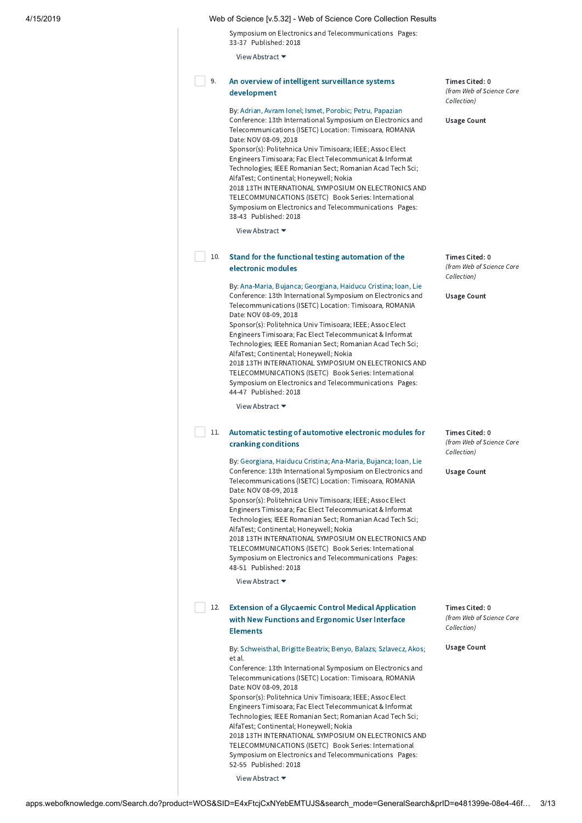Symposium on Electronics and Telecommunications Pages: 33-37 Published: 2018

View Abstract ▼

### An overview of intelligent surveillance systems [development](http://apps.webofknowledge.com/full_record.do?product=WOS&search_mode=GeneralSearch&qid=13&SID=E4xFtcjCxNYebEMTUJS&page=1&doc=9) 9.

By: [Adrian,](http://apps.webofknowledge.com/OneClickSearch.do?product=WOS&search_mode=OneClickSearch&excludeEventConfig=ExcludeIfFromFullRecPage&colName=WOS&SID=E4xFtcjCxNYebEMTUJS&field=AU&value=Adrian,%20Avram%20Ionel) Avram Ionel; Ismet, [Porobic](http://apps.webofknowledge.com/OneClickSearch.do?product=WOS&search_mode=OneClickSearch&excludeEventConfig=ExcludeIfFromFullRecPage&colName=WOS&SID=E4xFtcjCxNYebEMTUJS&field=AU&value=Ismet,%20Porobic); Petru, [Papazian](http://apps.webofknowledge.com/OneClickSearch.do?product=WOS&search_mode=OneClickSearch&excludeEventConfig=ExcludeIfFromFullRecPage&colName=WOS&SID=E4xFtcjCxNYebEMTUJS&field=AU&value=Petru,%20Papazian) Conference: 13th International Symposium on Electronics and Telecommunications (ISETC) Location: Timisoara, ROMANIA Date: NOV 08-09, 2018

Sponsor(s): Politehnica Univ Timisoara; IEEE; Assoc Elect Engineers Timisoara; Fac Elect Telecommunicat & Informat Technologies; IEEE Romanian Sect; Romanian Acad Tech Sci; AlfaTest; Continental; Honeywell; Nokia 2018 13TH INTERNATIONAL SYMPOSIUM ON ELECTRONICS AND TELECOMMUNICATIONS (ISETC) Book Series: International Symposium on Electronics and Telecommunications Pages: 38-43 Published: 2018

View Abstract ▼

# 10. Stand for the functional testing [automation](http://apps.webofknowledge.com/full_record.do?product=WOS&search_mode=GeneralSearch&qid=13&SID=E4xFtcjCxNYebEMTUJS&page=1&doc=10) of the electronic modules

By: [Ana-Maria,](http://apps.webofknowledge.com/OneClickSearch.do?product=WOS&search_mode=OneClickSearch&excludeEventConfig=ExcludeIfFromFullRecPage&colName=WOS&SID=E4xFtcjCxNYebEMTUJS&field=AU&value=Ana-Maria,%20Bujanca) Bujanca; [Georgiana,](http://apps.webofknowledge.com/OneClickSearch.do?product=WOS&search_mode=OneClickSearch&excludeEventConfig=ExcludeIfFromFullRecPage&colName=WOS&SID=E4xFtcjCxNYebEMTUJS&field=AU&value=Georgiana,%20Haiducu%20Cristina) Haiducu Cristina; [Ioan,](http://apps.webofknowledge.com/OneClickSearch.do?product=WOS&search_mode=OneClickSearch&excludeEventConfig=ExcludeIfFromFullRecPage&colName=WOS&SID=E4xFtcjCxNYebEMTUJS&field=AU&value=Ioan,%20Lie) Lie Conference: 13th International Symposium on Electronics and Telecommunications (ISETC) Location: Timisoara, ROMANIA Date: NOV 08-09, 2018

Sponsor(s): Politehnica Univ Timisoara; IEEE; Assoc Elect Engineers Timisoara; Fac Elect Telecommunicat & Informat Technologies; IEEE Romanian Sect; Romanian Acad Tech Sci; AlfaTest; Continental; Honeywell; Nokia 2018 13TH INTERNATIONAL SYMPOSIUM ON ELECTRONICS AND TELECOMMUNICATIONS (ISETC) Book Series: International Symposium on Electronics and Telecommunications Pages:

44-47 Published: 2018

## View Abstract ▼

# 11. Automatic testing of [automotive](http://apps.webofknowledge.com/full_record.do?product=WOS&search_mode=GeneralSearch&qid=13&SID=E4xFtcjCxNYebEMTUJS&page=1&doc=11) electronic modules for cranking conditions

By: [Georgiana,](http://apps.webofknowledge.com/OneClickSearch.do?product=WOS&search_mode=OneClickSearch&excludeEventConfig=ExcludeIfFromFullRecPage&colName=WOS&SID=E4xFtcjCxNYebEMTUJS&field=AU&value=Georgiana,%20Haiducu%20Cristina) Haiducu Cristina; [Ana-Maria,](http://apps.webofknowledge.com/OneClickSearch.do?product=WOS&search_mode=OneClickSearch&excludeEventConfig=ExcludeIfFromFullRecPage&colName=WOS&SID=E4xFtcjCxNYebEMTUJS&field=AU&value=Ana-Maria,%20Bujanca) Bujanca; [Ioan,](http://apps.webofknowledge.com/OneClickSearch.do?product=WOS&search_mode=OneClickSearch&excludeEventConfig=ExcludeIfFromFullRecPage&colName=WOS&SID=E4xFtcjCxNYebEMTUJS&field=AU&value=Ioan,%20Lie) Lie Conference: 13th International Symposium on Electronics and Telecommunications (ISETC) Location: Timisoara, ROMANIA Date: NOV 08-09, 2018

Sponsor(s): Politehnica Univ Timisoara; IEEE; Assoc Elect Engineers Timisoara; Fac Elect Telecommunicat & Informat Technologies; IEEE Romanian Sect; Romanian Acad Tech Sci; AlfaTest; Continental; Honeywell; Nokia 2018 13TH INTERNATIONAL SYMPOSIUM ON ELECTRONICS AND TELECOMMUNICATIONS (ISETC) Book Series: International Symposium on Electronics and Telecommunications Pages: 48-51 Published: 2018

View Abstract ▼

# 12. Extension of a Glycaemic Control Medical [Application](http://apps.webofknowledge.com/full_record.do?product=WOS&search_mode=GeneralSearch&qid=13&SID=E4xFtcjCxNYebEMTUJS&page=1&doc=12) with New Functions and Ergonomic User Interface Elements

By: [Schweisthal,](http://apps.webofknowledge.com/OneClickSearch.do?product=WOS&search_mode=OneClickSearch&excludeEventConfig=ExcludeIfFromFullRecPage&colName=WOS&SID=E4xFtcjCxNYebEMTUJS&field=AU&value=Schweisthal,%20Brigitte%20Beatrix) Brigitte Beatrix; [Benyo,](http://apps.webofknowledge.com/OneClickSearch.do?product=WOS&search_mode=OneClickSearch&excludeEventConfig=ExcludeIfFromFullRecPage&colName=WOS&SID=E4xFtcjCxNYebEMTUJS&field=AU&value=Benyo,%20Balazs) Balazs; [Szlavecz,](http://apps.webofknowledge.com/OneClickSearch.do?product=WOS&search_mode=OneClickSearch&excludeEventConfig=ExcludeIfFromFullRecPage&colName=WOS&SID=E4xFtcjCxNYebEMTUJS&field=AU&value=Szlavecz,%20Akos) Akos; et al. Conference: 13th International Symposium on Electronics and

Telecommunications (ISETC) Location: Timisoara, ROMANIA Date: NOV 08-09, 2018 Sponsor(s): Politehnica Univ Timisoara; IEEE; Assoc Elect Engineers Timisoara; Fac Elect Telecommunicat & Informat Technologies; IEEE Romanian Sect; Romanian Acad Tech Sci; AlfaTest; Continental; Honeywell; Nokia 2018 13TH INTERNATIONAL SYMPOSIUM ON ELECTRONICS AND TELECOMMUNICATIONS (ISETC) Book Series: International Symposium on Electronics and Telecommunications Pages:

View Abstract ▼

52-55 Published: 2018

Times Cited: 0 (from Web of Science Core Collection)

Usage Count

Times Cited: 0 (from Web of Science Core Collection)

Usage Count

Times Cited: 0 (from Web of Science Core Collection)

Usage Count

Times Cited: 0 (from Web of Science Core Collection)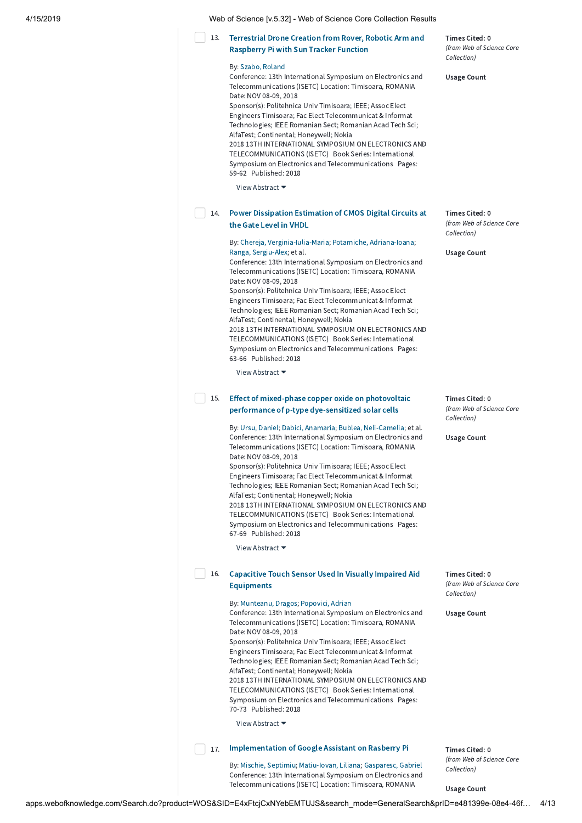| 4/15/2019 | Web of Science [v.5.32] - Web of Science Core Collection Results |
|-----------|------------------------------------------------------------------|
|-----------|------------------------------------------------------------------|

# Terrestrial Drone Creation from Rover, Robotic Arm and [Raspberry](http://apps.webofknowledge.com/full_record.do?product=WOS&search_mode=GeneralSearch&qid=13&SID=E4xFtcjCxNYebEMTUJS&page=1&doc=13) Pi with Sun Tracker Function By: [Szabo,](http://apps.webofknowledge.com/OneClickSearch.do?product=WOS&search_mode=OneClickSearch&excludeEventConfig=ExcludeIfFromFullRecPage&colName=WOS&SID=E4xFtcjCxNYebEMTUJS&field=AU&value=Szabo,%20Roland) Roland Conference: 13th International Symposium on Electronics and Telecommunications (ISETC) Location: Timisoara, ROMANIA Date: NOV 08-09, 2018 Sponsor(s): Politehnica Univ Timisoara; IEEE; Assoc Elect 13.

Engineers Timisoara; Fac Elect Telecommunicat & Informat Technologies; IEEE Romanian Sect; Romanian Acad Tech Sci; AlfaTest; Continental; Honeywell; Nokia 2018 13TH INTERNATIONAL SYMPOSIUM ON ELECTRONICS AND TELECOMMUNICATIONS (ISETC) Book Series: International

Symposium on Electronics and Telecommunications Pages: 59-62 Published: 2018

View Abstract ▼

#### Power [Dissipation](http://apps.webofknowledge.com/full_record.do?product=WOS&search_mode=GeneralSearch&qid=13&SID=E4xFtcjCxNYebEMTUJS&page=1&doc=14) Estimation of CMOS Digital Circuits at the Gate Level in VHDL 14.

By: Chereja, [Verginia-Iulia-Maria;](http://apps.webofknowledge.com/OneClickSearch.do?product=WOS&search_mode=OneClickSearch&excludeEventConfig=ExcludeIfFromFullRecPage&colName=WOS&SID=E4xFtcjCxNYebEMTUJS&field=AU&value=Chereja,%20Verginia-Iulia-Maria) Potarniche, [Adriana-Ioana;](http://apps.webofknowledge.com/OneClickSearch.do?product=WOS&search_mode=OneClickSearch&excludeEventConfig=ExcludeIfFromFullRecPage&colName=WOS&SID=E4xFtcjCxNYebEMTUJS&field=AU&value=Potarniche,%20Adriana-Ioana) Ranga, [Sergiu-Alex;](http://apps.webofknowledge.com/OneClickSearch.do?product=WOS&search_mode=OneClickSearch&excludeEventConfig=ExcludeIfFromFullRecPage&colName=WOS&SID=E4xFtcjCxNYebEMTUJS&field=AU&value=Ranga,%20Sergiu-Alex) et al. Conference: 13th International Symposium on Electronics and

Telecommunications (ISETC) Location: Timisoara, ROMANIA Date: NOV 08-09, 2018 Sponsor(s): Politehnica Univ Timisoara; IEEE; Assoc Elect

Engineers Timisoara; Fac Elect Telecommunicat & Informat Technologies; IEEE Romanian Sect; Romanian Acad Tech Sci; AlfaTest; Continental; Honeywell; Nokia 2018 13TH INTERNATIONAL SYMPOSIUM ON ELECTRONICS AND TELECOMMUNICATIONS (ISETC) Book Series: International Symposium on Electronics and Telecommunications Pages: 63-66 Published: 2018

View Abstract ▼

#### Effect of mixed-phase copper oxide on photovoltaic performance of p-type [dye-sensitized](http://apps.webofknowledge.com/full_record.do?product=WOS&search_mode=GeneralSearch&qid=13&SID=E4xFtcjCxNYebEMTUJS&page=1&doc=15) solar cells  $\Box$  15.

By: Ursu, [Daniel](http://apps.webofknowledge.com/OneClickSearch.do?product=WOS&search_mode=OneClickSearch&excludeEventConfig=ExcludeIfFromFullRecPage&colName=WOS&SID=E4xFtcjCxNYebEMTUJS&field=AU&value=Ursu,%20Daniel); Dabici, [Anamaria](http://apps.webofknowledge.com/OneClickSearch.do?product=WOS&search_mode=OneClickSearch&excludeEventConfig=ExcludeIfFromFullRecPage&colName=WOS&SID=E4xFtcjCxNYebEMTUJS&field=AU&value=Dabici,%20Anamaria); Bublea, [Neli-Camelia;](http://apps.webofknowledge.com/OneClickSearch.do?product=WOS&search_mode=OneClickSearch&excludeEventConfig=ExcludeIfFromFullRecPage&colName=WOS&SID=E4xFtcjCxNYebEMTUJS&field=AU&value=Bublea,%20Neli-Camelia) et al. Conference: 13th International Symposium on Electronics and Telecommunications (ISETC) Location: Timisoara, ROMANIA Date: NOV 08-09, 2018

Sponsor(s): Politehnica Univ Timisoara; IEEE; Assoc Elect Engineers Timisoara; Fac Elect Telecommunicat & Informat Technologies; IEEE Romanian Sect; Romanian Acad Tech Sci; AlfaTest; Continental; Honeywell; Nokia 2018 13TH INTERNATIONAL SYMPOSIUM ON ELECTRONICS AND TELECOMMUNICATIONS (ISETC) Book Series: International Symposium on Electronics and Telecommunications Pages: 67-69 Published: 2018

View Abstract ▼

#### Capacitive Touch Sensor Used In Visually Impaired Aid [Equipments](http://apps.webofknowledge.com/full_record.do?product=WOS&search_mode=GeneralSearch&qid=13&SID=E4xFtcjCxNYebEMTUJS&page=1&doc=16)  $\Box$  16.

## By: [Munteanu,](http://apps.webofknowledge.com/OneClickSearch.do?product=WOS&search_mode=OneClickSearch&excludeEventConfig=ExcludeIfFromFullRecPage&colName=WOS&SID=E4xFtcjCxNYebEMTUJS&field=AU&value=Munteanu,%20Dragos) Dragos; [Popovici,](http://apps.webofknowledge.com/OneClickSearch.do?product=WOS&search_mode=OneClickSearch&excludeEventConfig=ExcludeIfFromFullRecPage&colName=WOS&SID=E4xFtcjCxNYebEMTUJS&field=AU&value=Popovici,%20Adrian) Adrian

Conference: 13th International Symposium on Electronics and Telecommunications (ISETC) Location: Timisoara, ROMANIA Date: NOV 08-09, 2018 Sponsor(s): Politehnica Univ Timisoara; IEEE; Assoc Elect Engineers Timisoara; Fac Elect Telecommunicat & Informat Technologies; IEEE Romanian Sect; Romanian Acad Tech Sci;

AlfaTest; Continental; Honeywell; Nokia 2018 13TH INTERNATIONAL SYMPOSIUM ON ELECTRONICS AND TELECOMMUNICATIONS (ISETC) Book Series: International Symposium on Electronics and Telecommunications Pages: 70-73 Published: 2018

View Abstract ▼

### 17. [Implementation](http://apps.webofknowledge.com/full_record.do?product=WOS&search_mode=GeneralSearch&qid=13&SID=E4xFtcjCxNYebEMTUJS&page=1&doc=17) of Google Assistant on Rasberry Pi

By: Mischie, [Septimiu;](http://apps.webofknowledge.com/OneClickSearch.do?product=WOS&search_mode=OneClickSearch&excludeEventConfig=ExcludeIfFromFullRecPage&colName=WOS&SID=E4xFtcjCxNYebEMTUJS&field=AU&value=Mischie,%20Septimiu) [Matiu-Iovan,](http://apps.webofknowledge.com/OneClickSearch.do?product=WOS&search_mode=OneClickSearch&excludeEventConfig=ExcludeIfFromFullRecPage&colName=WOS&SID=E4xFtcjCxNYebEMTUJS&field=AU&value=Matiu-Iovan,%20Liliana) Liliana; [Gasparesc,](http://apps.webofknowledge.com/OneClickSearch.do?product=WOS&search_mode=OneClickSearch&excludeEventConfig=ExcludeIfFromFullRecPage&colName=WOS&SID=E4xFtcjCxNYebEMTUJS&field=AU&value=Gasparesc,%20Gabriel) Gabriel Conference: 13th International Symposium on Electronics and Telecommunications (ISETC) Location: Timisoara, ROMANIA

Times Cited: 0 (from Web of Science Core Collection)

Usage Count

Times Cited: 0 (from Web of Science Core Collection)

Usage Count

Times Cited: 0 (from Web of Science Core Collection)

Usage Count

Times Cited: 0 (from Web of Science Core Collection)

Usage Count

Times Cited: 0 (from Web of Science Core Collection)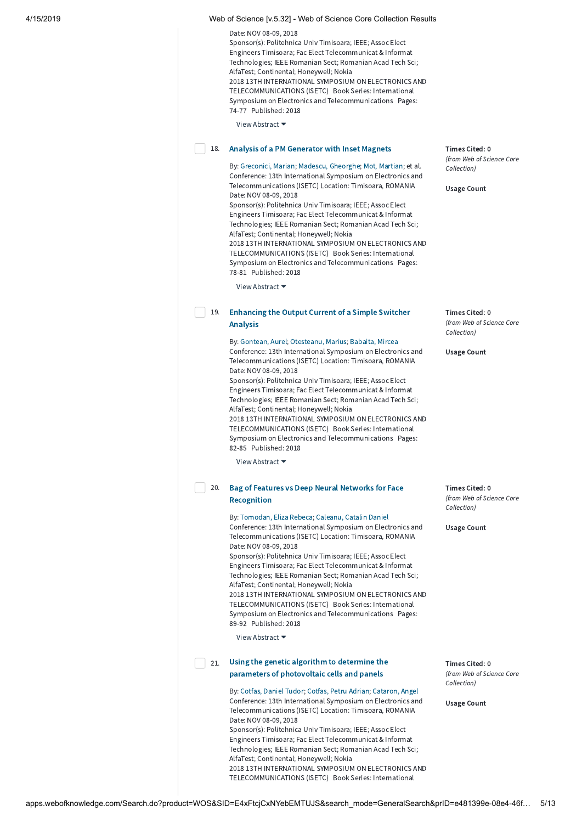| 4/15/2019 |     | Web of Science [v.5.32] - Web of Science Core Collection Results                                                                                                                                                                                                                                                                                                                                                                                                                                                                                                                                                                                                                                                           |                                                                                  |
|-----------|-----|----------------------------------------------------------------------------------------------------------------------------------------------------------------------------------------------------------------------------------------------------------------------------------------------------------------------------------------------------------------------------------------------------------------------------------------------------------------------------------------------------------------------------------------------------------------------------------------------------------------------------------------------------------------------------------------------------------------------------|----------------------------------------------------------------------------------|
|           |     | Date: NOV 08-09, 2018<br>Sponsor(s): Politehnica Univ Timisoara; IEEE; Assoc Elect<br>Engineers Timisoara; Fac Elect Telecommunicat & Informat<br>Technologies; IEEE Romanian Sect; Romanian Acad Tech Sci;<br>AlfaTest; Continental; Honeywell; Nokia<br>2018 13TH INTERNATIONAL SYMPOSIUM ON ELECTRONICS AND<br>TELECOMMUNICATIONS (ISETC) Book Series: International<br>Symposium on Electronics and Telecommunications Pages:<br>74-77 Published: 2018                                                                                                                                                                                                                                                                 |                                                                                  |
|           |     | View Abstract ▼                                                                                                                                                                                                                                                                                                                                                                                                                                                                                                                                                                                                                                                                                                            |                                                                                  |
|           | 18. | Analysis of a PM Generator with Inset Magnets<br>By: Greconici, Marian; Madescu, Gheorghe; Mot, Martian; et al.<br>Conference: 13th International Symposium on Electronics and<br>Telecommunications (ISETC) Location: Timisoara, ROMANIA<br>Date: NOV 08-09, 2018<br>Sponsor(s): Politehnica Univ Timisoara; IEEE; Assoc Elect<br>Engineers Timisoara; Fac Elect Telecommunicat & Informat<br>Technologies; IEEE Romanian Sect; Romanian Acad Tech Sci;<br>AlfaTest; Continental; Honeywell; Nokia<br>2018 13TH INTERNATIONAL SYMPOSIUM ON ELECTRONICS AND<br>TELECOMMUNICATIONS (ISETC) Book Series: International<br>Symposium on Electronics and Telecommunications Pages:<br>78-81 Published: 2018<br>View Abstract ▼ | Times Cited: 0<br>(from Web of Science Core<br>Collection)<br><b>Usage Count</b> |
|           |     |                                                                                                                                                                                                                                                                                                                                                                                                                                                                                                                                                                                                                                                                                                                            |                                                                                  |
|           | 19. | <b>Enhancing the Output Current of a Simple Switcher</b><br><b>Analysis</b>                                                                                                                                                                                                                                                                                                                                                                                                                                                                                                                                                                                                                                                | Times Cited: 0<br>(from Web of Science Core                                      |
|           |     | By: Gontean, Aurel; Otesteanu, Marius; Babaita, Mircea<br>Conference: 13th International Symposium on Electronics and<br>Telecommunications (ISETC) Location: Timisoara, ROMANIA<br>Date: NOV 08-09, 2018<br>Sponsor(s): Politehnica Univ Timisoara; IEEE; Assoc Elect<br>Engineers Timisoara; Fac Elect Telecommunicat & Informat<br>Technologies; IEEE Romanian Sect; Romanian Acad Tech Sci;<br>AlfaTest; Continental; Honeywell; Nokia<br>2018 13TH INTERNATIONAL SYMPOSIUM ON ELECTRONICS AND<br>TELECOMMUNICATIONS (ISETC) Book Series: International<br>Symposium on Electronics and Telecommunications Pages:<br>82-85 Published: 2018                                                                             | Collection)<br><b>Usage Count</b>                                                |
|           |     | View Abstract $\blacktriangleright$                                                                                                                                                                                                                                                                                                                                                                                                                                                                                                                                                                                                                                                                                        |                                                                                  |
|           | 20. | Bag of Features vs Deep Neural Networks for Face<br>Recognition                                                                                                                                                                                                                                                                                                                                                                                                                                                                                                                                                                                                                                                            | Times Cited: 0<br>(from Web of Science Core<br>Collection)                       |
|           |     | By: Tomodan, Eliza Rebeca; Caleanu, Catalin Daniel<br>Conference: 13th International Symposium on Electronics and<br>Telecommunications (ISETC) Location: Timisoara, ROMANIA<br>Date: NOV 08-09, 2018<br>Sponsor(s): Politehnica Univ Timisoara; IEEE; Assoc Elect<br>Engineers Timisoara; Fac Elect Telecommunicat & Informat<br>Technologies; IEEE Romanian Sect; Romanian Acad Tech Sci;<br>AlfaTest; Continental; Honeywell; Nokia<br>2018 13TH INTERNATIONAL SYMPOSIUM ON ELECTRONICS AND<br>TELECOMMUNICATIONS (ISETC) Book Series: International<br>Symposium on Electronics and Telecommunications Pages:<br>89-92 Published: 2018<br>View Abstract ▼                                                              | <b>Usage Count</b>                                                               |
|           | 21. | Using the genetic algorithm to determine the<br>parameters of photovoltaic cells and panels                                                                                                                                                                                                                                                                                                                                                                                                                                                                                                                                                                                                                                | Times Cited: 0<br>(from Web of Science Core                                      |
|           |     | By: Cotfas, Daniel Tudor; Cotfas, Petru Adrian; Cataron, Angel<br>Conference: 13th International Symposium on Electronics and<br>Telecommunications (ISETC) Location: Timisoara, ROMANIA<br>Date: NOV 08-09, 2018<br>Sponsor(s): Politehnica Univ Timisoara; IEEE; Assoc Elect<br>Engineers Timisoara; Fac Elect Telecommunicat & Informat<br>Technologies; IEEE Romanian Sect; Romanian Acad Tech Sci;<br>AlfaTest; Continental; Honeywell; Nokia                                                                                                                                                                                                                                                                         | Collection)<br><b>Usage Count</b>                                                |
|           |     | 2018 13TH INTERNATIONAL SYMPOSIUM ON ELECTRONICS AND<br>TELECOMMUNICATIONS (ISETC) Book Series: International                                                                                                                                                                                                                                                                                                                                                                                                                                                                                                                                                                                                              |                                                                                  |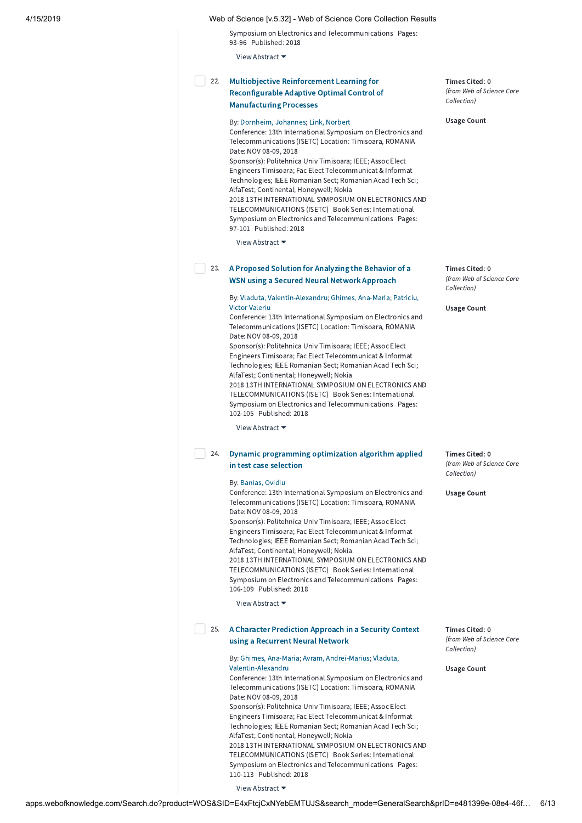Symposium on Electronics and Telecommunications Pages: 93-96 Published: 2018

View Abstract ▼

### Multiobjective Reinforcement Learning for [Reconfigurable](http://apps.webofknowledge.com/full_record.do?product=WOS&search_mode=GeneralSearch&qid=13&SID=E4xFtcjCxNYebEMTUJS&page=1&doc=22) Adaptive Optimal Control of Manufacturing Processes 22.

### By: [Dornheim,](http://apps.webofknowledge.com/OneClickSearch.do?product=WOS&search_mode=OneClickSearch&excludeEventConfig=ExcludeIfFromFullRecPage&colName=WOS&SID=E4xFtcjCxNYebEMTUJS&field=AU&value=Dornheim,%20Johannes) Johannes; Link, [Norbert](http://apps.webofknowledge.com/OneClickSearch.do?product=WOS&search_mode=OneClickSearch&excludeEventConfig=ExcludeIfFromFullRecPage&colName=WOS&SID=E4xFtcjCxNYebEMTUJS&field=AU&value=Link,%20Norbert)

Conference: 13th International Symposium on Electronics and Telecommunications (ISETC) Location: Timisoara, ROMANIA Date: NOV 08-09, 2018 Sponsor(s): Politehnica Univ Timisoara; IEEE; Assoc Elect Engineers Timisoara; Fac Elect Telecommunicat & Informat Technologies; IEEE Romanian Sect; Romanian Acad Tech Sci; AlfaTest; Continental; Honeywell; Nokia 2018 13TH INTERNATIONAL SYMPOSIUM ON ELECTRONICS AND

TELECOMMUNICATIONS (ISETC) Book Series: International Symposium on Electronics and Telecommunications Pages: 97-101 Published: 2018

View Abstract ▼

## 23. A Proposed Solution for [Analyzing](http://apps.webofknowledge.com/full_record.do?product=WOS&search_mode=GeneralSearch&qid=13&SID=E4xFtcjCxNYebEMTUJS&page=1&doc=23) the Behavior of a WSN using a Secured Neural Network Approach

By: Vladuta, [Valentin-Alexandr](http://apps.webofknowledge.com/OneClickSearch.do?product=WOS&search_mode=OneClickSearch&excludeEventConfig=ExcludeIfFromFullRecPage&colName=WOS&SID=E4xFtcjCxNYebEMTUJS&field=AU&value=Vladuta,%20Valentin-Alexandru)[u;](http://apps.webofknowledge.com/OneClickSearch.do?product=WOS&search_mode=OneClickSearch&excludeEventConfig=ExcludeIfFromFullRecPage&colName=WOS&SID=E4xFtcjCxNYebEMTUJS&field=AU&value=Patriciu,%20Victor%20Valeriu) Ghimes, [Ana-Maria](http://apps.webofknowledge.com/OneClickSearch.do?product=WOS&search_mode=OneClickSearch&excludeEventConfig=ExcludeIfFromFullRecPage&colName=WOS&SID=E4xFtcjCxNYebEMTUJS&field=AU&value=Ghimes,%20Ana-Maria); Patriciu, Victor Valeriu

Conference: 13th International Symposium on Electronics and Telecommunications (ISETC) Location: Timisoara, ROMANIA Date: NOV 08-09, 2018

Sponsor(s): Politehnica Univ Timisoara; IEEE; Assoc Elect Engineers Timisoara; Fac Elect Telecommunicat & Informat Technologies; IEEE Romanian Sect; Romanian Acad Tech Sci; AlfaTest; Continental; Honeywell; Nokia 2018 13TH INTERNATIONAL SYMPOSIUM ON ELECTRONICS AND

TELECOMMUNICATIONS (ISETC) Book Series: International Symposium on Electronics and Telecommunications Pages: 102-105 Published: 2018

View Abstract ▼

# 24. Dynamic [programming](http://apps.webofknowledge.com/full_record.do?product=WOS&search_mode=GeneralSearch&qid=13&SID=E4xFtcjCxNYebEMTUJS&page=1&doc=24) optimization algorithm applied in test case selection

### By: [Banias,](http://apps.webofknowledge.com/OneClickSearch.do?product=WOS&search_mode=OneClickSearch&excludeEventConfig=ExcludeIfFromFullRecPage&colName=WOS&SID=E4xFtcjCxNYebEMTUJS&field=AU&value=Banias,%20Ovidiu) Ovidiu

Conference: 13th International Symposium on Electronics and Telecommunications (ISETC) Location: Timisoara, ROMANIA Date: NOV 08-09, 2018 Sponsor(s): Politehnica Univ Timisoara; IEEE; Assoc Elect Engineers Timisoara; Fac Elect Telecommunicat & Informat

Technologies; IEEE Romanian Sect; Romanian Acad Tech Sci; AlfaTest; Continental; Honeywell; Nokia 2018 13TH INTERNATIONAL SYMPOSIUM ON ELECTRONICS AND TELECOMMUNICATIONS (ISETC) Book Series: International

Symposium on Electronics and Telecommunications Pages: 106-109 Published: 2018

View Abstract ▼

## 25. A Character [Prediction](http://apps.webofknowledge.com/full_record.do?product=WOS&search_mode=GeneralSearch&qid=13&SID=E4xFtcjCxNYebEMTUJS&page=1&doc=25) Approach in a Security Context using a Recurrent Neural Network

By: Ghimes, [Ana-Maria;](http://apps.webofknowledge.com/OneClickSearch.do?product=WOS&search_mode=OneClickSearch&excludeEventConfig=ExcludeIfFromFullRecPage&colName=WOS&SID=E4xFtcjCxNYebEMTUJS&field=AU&value=Ghimes,%20Ana-Maria) Avram, [Andrei-Marius;](http://apps.webofknowledge.com/OneClickSearch.do?product=WOS&search_mode=OneClickSearch&excludeEventConfig=ExcludeIfFromFullRecPage&colName=WOS&SID=E4xFtcjCxNYebEMTUJS&field=AU&value=Avram,%20Andrei-Marius) Vladuta, [Valentin-Alexandru](http://apps.webofknowledge.com/OneClickSearch.do?product=WOS&search_mode=OneClickSearch&excludeEventConfig=ExcludeIfFromFullRecPage&colName=WOS&SID=E4xFtcjCxNYebEMTUJS&field=AU&value=Vladuta,%20Valentin-Alexandru) Conference: 13th International Symposium on Electronics and Telecommunications (ISETC) Location: Timisoara, ROMANIA Date: NOV 08-09, 2018 Sponsor(s): Politehnica Univ Timisoara; IEEE; Assoc Elect Engineers Timisoara; Fac Elect Telecommunicat & Informat Technologies; IEEE Romanian Sect; Romanian Acad Tech Sci; AlfaTest; Continental; Honeywell; Nokia 2018 13TH INTERNATIONAL SYMPOSIUM ON ELECTRONICS AND TELECOMMUNICATIONS (ISETC) Book Series: International Symposium on Electronics and Telecommunications Pages: 110-113 Published: 2018

View Abstract ▼

Times Cited: 0 (from Web of Science Core Collection)

Usage Count

Times Cited: 0 (from Web of Science Core Collection)

Usage Count

Times Cited: 0 (from Web of Science Core Collection)

Usage Count

Times Cited: 0 (from Web of Science Core Collection)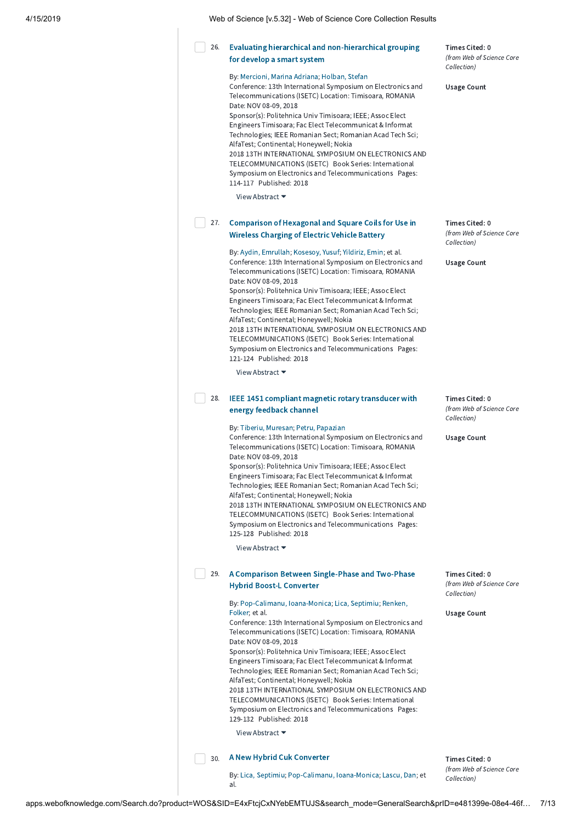| 4/15/2019<br>Web of Science Iv.5.321 - Web of Science Core Collection Results |
|-------------------------------------------------------------------------------|
|-------------------------------------------------------------------------------|

#### Evaluating hierarchical and [non-hierarchical](http://apps.webofknowledge.com/full_record.do?product=WOS&search_mode=GeneralSearch&qid=13&SID=E4xFtcjCxNYebEMTUJS&page=1&doc=26) grouping for develop a smart system 26.

### By: [Mercioni,](http://apps.webofknowledge.com/OneClickSearch.do?product=WOS&search_mode=OneClickSearch&excludeEventConfig=ExcludeIfFromFullRecPage&colName=WOS&SID=E4xFtcjCxNYebEMTUJS&field=AU&value=Mercioni,%20Marina%20Adriana) Marina Adriana; [Holban,](http://apps.webofknowledge.com/OneClickSearch.do?product=WOS&search_mode=OneClickSearch&excludeEventConfig=ExcludeIfFromFullRecPage&colName=WOS&SID=E4xFtcjCxNYebEMTUJS&field=AU&value=Holban,%20Stefan) Stefan

Conference: 13th International Symposium on Electronics and Telecommunications (ISETC) Location: Timisoara, ROMANIA Date: NOV 08-09, 2018 Sponsor(s): Politehnica Univ Timisoara; IEEE; Assoc Elect

Engineers Timisoara; Fac Elect Telecommunicat & Informat Technologies; IEEE Romanian Sect; Romanian Acad Tech Sci; AlfaTest; Continental; Honeywell; Nokia 2018 13TH INTERNATIONAL SYMPOSIUM ON ELECTRONICS AND TELECOMMUNICATIONS (ISETC) Book Series: International Symposium on Electronics and Telecommunications Pages: 114-117 Published: 2018

View Abstract ▼

# 27. [Comparison](http://apps.webofknowledge.com/full_record.do?product=WOS&search_mode=GeneralSearch&qid=13&SID=E4xFtcjCxNYebEMTUJS&page=1&doc=27) of Hexagonal and Square Coils for Use in Wireless Charging of Electric Vehicle Battery

By: Aydin, [Emrullah](http://apps.webofknowledge.com/OneClickSearch.do?product=WOS&search_mode=OneClickSearch&excludeEventConfig=ExcludeIfFromFullRecPage&colName=WOS&SID=E4xFtcjCxNYebEMTUJS&field=AU&value=Aydin,%20Emrullah); [Kosesoy,](http://apps.webofknowledge.com/OneClickSearch.do?product=WOS&search_mode=OneClickSearch&excludeEventConfig=ExcludeIfFromFullRecPage&colName=WOS&SID=E4xFtcjCxNYebEMTUJS&field=AU&value=Kosesoy,%20Yusuf) Yusuf; [Yildiriz,](http://apps.webofknowledge.com/OneClickSearch.do?product=WOS&search_mode=OneClickSearch&excludeEventConfig=ExcludeIfFromFullRecPage&colName=WOS&SID=E4xFtcjCxNYebEMTUJS&field=AU&value=Yildiriz,%20Emin) Emin; et al. Conference: 13th International Symposium on Electronics and Telecommunications (ISETC) Location: Timisoara, ROMANIA Date: NOV 08-09, 2018

Sponsor(s): Politehnica Univ Timisoara; IEEE; Assoc Elect Engineers Timisoara; Fac Elect Telecommunicat & Informat Technologies; IEEE Romanian Sect; Romanian Acad Tech Sci; AlfaTest; Continental; Honeywell; Nokia 2018 13TH INTERNATIONAL SYMPOSIUM ON ELECTRONICS AND TELECOMMUNICATIONS (ISETC) Book Series: International Symposium on Electronics and Telecommunications Pages: 121-124 Published: 2018

View Abstract ▼

# 28. IEEE 1451 compliant magnetic rotary [transducer](http://apps.webofknowledge.com/full_record.do?product=WOS&search_mode=GeneralSearch&qid=13&SID=E4xFtcjCxNYebEMTUJS&page=1&doc=28) with energy feedback channel

By: Tiberiu, [Muresan](http://apps.webofknowledge.com/OneClickSearch.do?product=WOS&search_mode=OneClickSearch&excludeEventConfig=ExcludeIfFromFullRecPage&colName=WOS&SID=E4xFtcjCxNYebEMTUJS&field=AU&value=Tiberiu,%20Muresan); Petru, [Papazian](http://apps.webofknowledge.com/OneClickSearch.do?product=WOS&search_mode=OneClickSearch&excludeEventConfig=ExcludeIfFromFullRecPage&colName=WOS&SID=E4xFtcjCxNYebEMTUJS&field=AU&value=Petru,%20Papazian)

Conference: 13th International Symposium on Electronics and Telecommunications (ISETC) Location: Timisoara, ROMANIA Date: NOV 08-09, 2018

Sponsor(s): Politehnica Univ Timisoara; IEEE; Assoc Elect Engineers Timisoara; Fac Elect Telecommunicat & Informat Technologies; IEEE Romanian Sect; Romanian Acad Tech Sci; AlfaTest; Continental; Honeywell; Nokia 2018 13TH INTERNATIONAL SYMPOSIUM ON ELECTRONICS AND TELECOMMUNICATIONS (ISETC) Book Series: International Symposium on Electronics and Telecommunications Pages: 125-128 Published: 2018

View Abstract ▼

# 29. A Comparison Between [Single-Phase](http://apps.webofknowledge.com/full_record.do?product=WOS&search_mode=GeneralSearch&qid=13&SID=E4xFtcjCxNYebEMTUJS&page=1&doc=29) and Two-Phase Hybrid Boost-L Converter

By: [Pop-Calimanu,](http://apps.webofknowledge.com/OneClickSearch.do?product=WOS&search_mode=OneClickSearch&excludeEventConfig=ExcludeIfFromFullRecPage&colName=WOS&SID=E4xFtcjCxNYebEMTUJS&field=AU&value=Pop-Calimanu,%20Ioana-Monica) Ioana-Monica; Lica, [Septimiu;](http://apps.webofknowledge.com/OneClickSearch.do?product=WOS&search_mode=OneClickSearch&excludeEventConfig=ExcludeIfFromFullRecPage&colName=WOS&SID=E4xFtcjCxNYebEMTUJS&field=AU&value=Lica,%20Septimiu) Renken, Folker; et al. Conference: 13th International Symposium on Electronics and Telecommunications (ISETC) Location: Timisoara, ROMANIA

Date: NOV 08-09, 2018 Sponsor(s): Politehnica Univ Timisoara; IEEE; Assoc Elect Engineers Timisoara; Fac Elect Telecommunicat & Informat Technologies; IEEE Romanian Sect; Romanian Acad Tech Sci; AlfaTest; Continental; Honeywell; Nokia 2018 13TH INTERNATIONAL SYMPOSIUM ON ELECTRONICS AND

TELECOMMUNICATIONS (ISETC) Book Series: International Symposium on Electronics and Telecommunications Pages: 129-132 Published: 2018

View Abstract ▼

### 30. A New Hybrid Cuk [Converter](http://apps.webofknowledge.com/full_record.do?product=WOS&search_mode=GeneralSearch&qid=13&SID=E4xFtcjCxNYebEMTUJS&page=1&doc=30)

By: Lica, [Septimiu](http://apps.webofknowledge.com/OneClickSearch.do?product=WOS&search_mode=OneClickSearch&excludeEventConfig=ExcludeIfFromFullRecPage&colName=WOS&SID=E4xFtcjCxNYebEMTUJS&field=AU&value=Lica,%20Septimiu); [Pop-Calimanu,](http://apps.webofknowledge.com/OneClickSearch.do?product=WOS&search_mode=OneClickSearch&excludeEventConfig=ExcludeIfFromFullRecPage&colName=WOS&SID=E4xFtcjCxNYebEMTUJS&field=AU&value=Pop-Calimanu,%20Ioana-Monica) Ioana-Monica; [Lascu,](http://apps.webofknowledge.com/OneClickSearch.do?product=WOS&search_mode=OneClickSearch&excludeEventConfig=ExcludeIfFromFullRecPage&colName=WOS&SID=E4xFtcjCxNYebEMTUJS&field=AU&value=Lascu,%20Dan) Dan; et al.

Times Cited: 0 (from Web of Science Core Collection)

Usage Count

Times Cited: 0 (from Web of Science Core Collection)

Usage Count

Times Cited: 0 (from Web of Science Core Collection)

Usage Count

Times Cited: 0 (from Web of Science Core Collection)

Usage Count

Times Cited: 0 (from Web of Science Core Collection)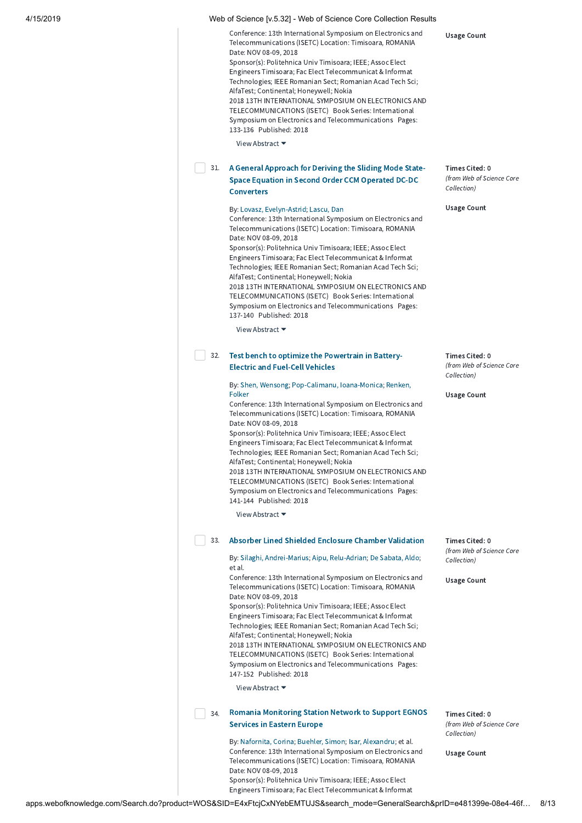| Conference: 13th International Symposium on Electronics and<br>Telecommunications (ISETC) Location: Timisoara, ROMANIA<br>Date: NOV 08-09, 2018 |
|-------------------------------------------------------------------------------------------------------------------------------------------------|
| Sponsor(s): Politehnica Univ Timisoara; IEEE; Assoc Elect                                                                                       |
| Engineers Timisoara; Fac Elect Telecommunicat & Informat                                                                                        |
| Technologies; IEEE Romanian Sect; Romanian Acad Tech Sci;                                                                                       |
| AlfaTest; Continental; Honeywell; Nokia                                                                                                         |
| 2018 13TH INTERNATIONAL SYMPOSIUM ON ELECTRONICS AND                                                                                            |
| TELECOMMUNICATIONS (ISETC) Book Series: International                                                                                           |
| Symposium on Electronics and Telecommunications Pages:                                                                                          |
| 133-136 Published: 2018                                                                                                                         |
|                                                                                                                                                 |

View Abstract ▼

# 31. A General Approach for Deriving the Sliding Mode State-Space Equation in Second Order CCM Operated DC-DC **[Converters](http://apps.webofknowledge.com/full_record.do?product=WOS&search_mode=GeneralSearch&qid=13&SID=E4xFtcjCxNYebEMTUJS&page=1&doc=31)**

### By: Lovasz, [Evelyn-Astrid;](http://apps.webofknowledge.com/OneClickSearch.do?product=WOS&search_mode=OneClickSearch&excludeEventConfig=ExcludeIfFromFullRecPage&colName=WOS&SID=E4xFtcjCxNYebEMTUJS&field=AU&value=Lovasz,%20Evelyn-Astrid) [Lascu,](http://apps.webofknowledge.com/OneClickSearch.do?product=WOS&search_mode=OneClickSearch&excludeEventConfig=ExcludeIfFromFullRecPage&colName=WOS&SID=E4xFtcjCxNYebEMTUJS&field=AU&value=Lascu,%20Dan) Dan

Conference: 13th International Symposium on Electronics and Telecommunications (ISETC) Location: Timisoara, ROMANIA Date: NOV 08-09, 2018 Sponsor(s): Politehnica Univ Timisoara; IEEE; Assoc Elect

Engineers Timisoara; Fac Elect Telecommunicat & Informat Technologies; IEEE Romanian Sect; Romanian Acad Tech Sci; AlfaTest; Continental; Honeywell; Nokia 2018 13TH INTERNATIONAL SYMPOSIUM ON ELECTRONICS AND TELECOMMUNICATIONS (ISETC) Book Series: International Symposium on Electronics and Telecommunications Pages: 137-140 Published: 2018

View Abstract ▼

# 32. Test bench to optimize the [Powertrain](http://apps.webofknowledge.com/full_record.do?product=WOS&search_mode=GeneralSearch&qid=13&SID=E4xFtcjCxNYebEMTUJS&page=1&doc=32) in Battery-Electric and Fuel-Cell Vehicles

By: Shen, [Wensong;](http://apps.webofknowledge.com/OneClickSearch.do?product=WOS&search_mode=OneClickSearch&excludeEventConfig=ExcludeIfFromFullRecPage&colName=WOS&SID=E4xFtcjCxNYebEMTUJS&field=AU&value=Shen,%20Wensong) [Pop-Calimanu,](http://apps.webofknowledge.com/OneClickSearch.do?product=WOS&search_mode=OneClickSearch&excludeEventConfig=ExcludeIfFromFullRecPage&colName=WOS&SID=E4xFtcjCxNYebEMTUJS&field=AU&value=Pop-Calimanu,%20Ioana-Monica) Ioana-Monica; Renken, Folker

Conference: 13th International Symposium on Electronics and Telecommunications (ISETC) Location: Timisoara, ROMANIA Date: NOV 08-09, 2018 Sponsor(s): Politehnica Univ Timisoara; IEEE; Assoc Elect

Engineers Timisoara; Fac Elect Telecommunicat & Informat Technologies; IEEE Romanian Sect; Romanian Acad Tech Sci; AlfaTest; Continental; Honeywell; Nokia 2018 13TH INTERNATIONAL SYMPOSIUM ON ELECTRONICS AND TELECOMMUNICATIONS (ISETC) Book Series: International Symposium on Electronics and Telecommunications Pages: 141-144 Published: 2018

View Abstract ▼

## 33. Absorber Lined Shielded Enclosure Chamber [Validation](http://apps.webofknowledge.com/full_record.do?product=WOS&search_mode=GeneralSearch&qid=13&SID=E4xFtcjCxNYebEMTUJS&page=1&doc=33)

By: Silaghi, [Andrei-Marius](http://apps.webofknowledge.com/OneClickSearch.do?product=WOS&search_mode=OneClickSearch&excludeEventConfig=ExcludeIfFromFullRecPage&colName=WOS&SID=E4xFtcjCxNYebEMTUJS&field=AU&value=Silaghi,%20Andrei-Marius); Aipu, [Relu-Adrian](http://apps.webofknowledge.com/OneClickSearch.do?product=WOS&search_mode=OneClickSearch&excludeEventConfig=ExcludeIfFromFullRecPage&colName=WOS&SID=E4xFtcjCxNYebEMTUJS&field=AU&value=Aipu,%20Relu-Adrian); De [Sabata,](http://apps.webofknowledge.com/OneClickSearch.do?product=WOS&search_mode=OneClickSearch&excludeEventConfig=ExcludeIfFromFullRecPage&colName=WOS&SID=E4xFtcjCxNYebEMTUJS&field=AU&value=De%20Sabata,%20Aldo) Aldo; et al.

Conference: 13th International Symposium on Electronics and Telecommunications (ISETC) Location: Timisoara, ROMANIA Date: NOV 08-09, 2018 Sponsor(s): Politehnica Univ Timisoara; IEEE; Assoc Elect

Engineers Timisoara; Fac Elect Telecommunicat & Informat Technologies; IEEE Romanian Sect; Romanian Acad Tech Sci; AlfaTest; Continental; Honeywell; Nokia 2018 13TH INTERNATIONAL SYMPOSIUM ON ELECTRONICS AND

TELECOMMUNICATIONS (ISETC) Book Series: International Symposium on Electronics and Telecommunications Pages: 147-152 Published: 2018

View Abstract ▼

#### Romania [Monitoring](http://apps.webofknowledge.com/full_record.do?product=WOS&search_mode=GeneralSearch&qid=13&SID=E4xFtcjCxNYebEMTUJS&page=1&doc=34) Station Network to Support EGNOS Services in Eastern Europe 34.

By: [Nafornita,](http://apps.webofknowledge.com/OneClickSearch.do?product=WOS&search_mode=OneClickSearch&excludeEventConfig=ExcludeIfFromFullRecPage&colName=WOS&SID=E4xFtcjCxNYebEMTUJS&field=AU&value=Nafornita,%20Corina) Corina; [Buehler,](http://apps.webofknowledge.com/OneClickSearch.do?product=WOS&search_mode=OneClickSearch&excludeEventConfig=ExcludeIfFromFullRecPage&colName=WOS&SID=E4xFtcjCxNYebEMTUJS&field=AU&value=Buehler,%20Simon) Simon; Isar, [Alexandru](http://apps.webofknowledge.com/OneClickSearch.do?product=WOS&search_mode=OneClickSearch&excludeEventConfig=ExcludeIfFromFullRecPage&colName=WOS&SID=E4xFtcjCxNYebEMTUJS&field=AU&value=Isar,%20Alexandru); et al. Conference: 13th International Symposium on Electronics and Telecommunications (ISETC) Location: Timisoara, ROMANIA Date: NOV 08-09, 2018 Sponsor(s): Politehnica Univ Timisoara; IEEE; Assoc Elect Engineers Timisoara; Fac Elect Telecommunicat & Informat

Usage Count

Times Cited: 0 (from Web of Science Core Collection)

Usage Count

Times Cited: 0 (from Web of Science Core Collection)

Usage Count

Times Cited: 0 (from Web of Science Core Collection)

Usage Count

Times Cited: 0 (from Web of Science Core Collection)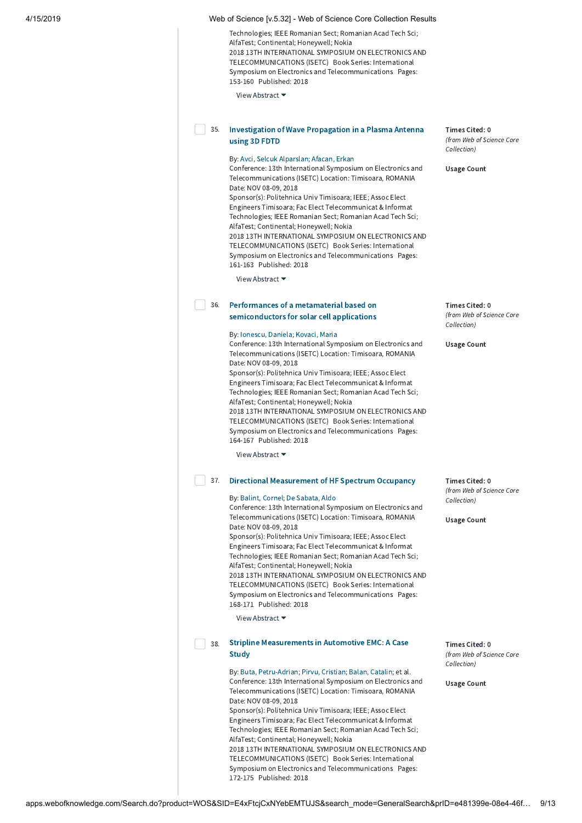Technologies; IEEE Romanian Sect; Romanian Acad Tech Sci; AlfaTest; Continental; Honeywell; Nokia 2018 13TH INTERNATIONAL SYMPOSIUM ON ELECTRONICS AND TELECOMMUNICATIONS (ISETC) Book Series: International Symposium on Electronics and Telecommunications Pages: 153-160 Published: 2018

View Abstract ▼

|  | Investigation of Wave Propagation in a Plasma Antenna |
|--|-------------------------------------------------------|
|  | using 3D FDTD                                         |

### By: Avci, Selcuk [Alparslan;](http://apps.webofknowledge.com/OneClickSearch.do?product=WOS&search_mode=OneClickSearch&excludeEventConfig=ExcludeIfFromFullRecPage&colName=WOS&SID=E4xFtcjCxNYebEMTUJS&field=AU&value=Avci,%20Selcuk%20Alparslan) [Afacan,](http://apps.webofknowledge.com/OneClickSearch.do?product=WOS&search_mode=OneClickSearch&excludeEventConfig=ExcludeIfFromFullRecPage&colName=WOS&SID=E4xFtcjCxNYebEMTUJS&field=AU&value=Afacan,%20Erkan) Erkan

Conference: 13th International Symposium on Electronics and Telecommunications (ISETC) Location: Timisoara, ROMANIA Date: NOV 08-09, 2018

Sponsor(s): Politehnica Univ Timisoara; IEEE; Assoc Elect Engineers Timisoara; Fac Elect Telecommunicat & Informat Technologies; IEEE Romanian Sect; Romanian Acad Tech Sci; AlfaTest; Continental; Honeywell; Nokia 2018 13TH INTERNATIONAL SYMPOSIUM ON ELECTRONICS AND TELECOMMUNICATIONS (ISETC) Book Series: International Symposium on Electronics and Telecommunications Pages: 161-163 Published: 2018

View Abstract ▼

#### Performances of a metamaterial based on [semiconductors](http://apps.webofknowledge.com/full_record.do?product=WOS&search_mode=GeneralSearch&qid=13&SID=E4xFtcjCxNYebEMTUJS&page=1&doc=36) for solar cell applications 36.

### By: [Ionescu,](http://apps.webofknowledge.com/OneClickSearch.do?product=WOS&search_mode=OneClickSearch&excludeEventConfig=ExcludeIfFromFullRecPage&colName=WOS&SID=E4xFtcjCxNYebEMTUJS&field=AU&value=Ionescu,%20Daniela) Daniela; [Kovaci,](http://apps.webofknowledge.com/OneClickSearch.do?product=WOS&search_mode=OneClickSearch&excludeEventConfig=ExcludeIfFromFullRecPage&colName=WOS&SID=E4xFtcjCxNYebEMTUJS&field=AU&value=Kovaci,%20Maria) Maria

Conference: 13th International Symposium on Electronics and Telecommunications (ISETC) Location: Timisoara, ROMANIA Date: NOV 08-09, 2018

Sponsor(s): Politehnica Univ Timisoara; IEEE; Assoc Elect Engineers Timisoara; Fac Elect Telecommunicat & Informat Technologies; IEEE Romanian Sect; Romanian Acad Tech Sci; AlfaTest; Continental; Honeywell; Nokia 2018 13TH INTERNATIONAL SYMPOSIUM ON ELECTRONICS AND TELECOMMUNICATIONS (ISETC) Book Series: International Symposium on Electronics and Telecommunications Pages:

164-167 Published: 2018

View Abstract ▼

## 37. Directional [Measurement](http://apps.webofknowledge.com/full_record.do?product=WOS&search_mode=GeneralSearch&qid=13&SID=E4xFtcjCxNYebEMTUJS&page=1&doc=37) of HF Spectrum Occupancy

### By: Balint, [Cornel](http://apps.webofknowledge.com/OneClickSearch.do?product=WOS&search_mode=OneClickSearch&excludeEventConfig=ExcludeIfFromFullRecPage&colName=WOS&SID=E4xFtcjCxNYebEMTUJS&field=AU&value=Balint,%20Cornel); De [Sabata,](http://apps.webofknowledge.com/OneClickSearch.do?product=WOS&search_mode=OneClickSearch&excludeEventConfig=ExcludeIfFromFullRecPage&colName=WOS&SID=E4xFtcjCxNYebEMTUJS&field=AU&value=De%20Sabata,%20Aldo) Aldo

Conference: 13th International Symposium on Electronics and Telecommunications (ISETC) Location: Timisoara, ROMANIA Date: NOV 08-09, 2018

Sponsor(s): Politehnica Univ Timisoara; IEEE; Assoc Elect Engineers Timisoara; Fac Elect Telecommunicat & Informat Technologies; IEEE Romanian Sect; Romanian Acad Tech Sci; AlfaTest; Continental; Honeywell; Nokia 2018 13TH INTERNATIONAL SYMPOSIUM ON ELECTRONICS AND

TELECOMMUNICATIONS (ISETC) Book Series: International Symposium on Electronics and Telecommunications Pages: 168-171 Published: 2018

View Abstract ▼

#### Stripline [Measurements](http://apps.webofknowledge.com/full_record.do?product=WOS&search_mode=GeneralSearch&qid=13&SID=E4xFtcjCxNYebEMTUJS&page=1&doc=38) in Automotive EMC: A Case **Study** 38.

By: Buta, [Petru-Adrian;](http://apps.webofknowledge.com/OneClickSearch.do?product=WOS&search_mode=OneClickSearch&excludeEventConfig=ExcludeIfFromFullRecPage&colName=WOS&SID=E4xFtcjCxNYebEMTUJS&field=AU&value=Buta,%20Petru-Adrian) Pirvu, [Cristian;](http://apps.webofknowledge.com/OneClickSearch.do?product=WOS&search_mode=OneClickSearch&excludeEventConfig=ExcludeIfFromFullRecPage&colName=WOS&SID=E4xFtcjCxNYebEMTUJS&field=AU&value=Pirvu,%20Cristian) Balan, [Catalin;](http://apps.webofknowledge.com/OneClickSearch.do?product=WOS&search_mode=OneClickSearch&excludeEventConfig=ExcludeIfFromFullRecPage&colName=WOS&SID=E4xFtcjCxNYebEMTUJS&field=AU&value=Balan,%20Catalin) et al. Conference: 13th International Symposium on Electronics and Telecommunications (ISETC) Location: Timisoara, ROMANIA Date: NOV 08-09, 2018 Sponsor(s): Politehnica Univ Timisoara; IEEE; Assoc Elect Engineers Timisoara; Fac Elect Telecommunicat & Informat Technologies; IEEE Romanian Sect; Romanian Acad Tech Sci; AlfaTest; Continental; Honeywell; Nokia 2018 13TH INTERNATIONAL SYMPOSIUM ON ELECTRONICS AND TELECOMMUNICATIONS (ISETC) Book Series: International Symposium on Electronics and Telecommunications Pages: 172-175 Published: 2018

Times Cited: 0 (from Web of Science Core Collection)

Usage Count

Times Cited: 0 (from Web of Science Core Collection)

Usage Count

Times Cited: 0 (from Web of Science Core

Usage Count

Collection)

Times Cited: 0 (from Web of Science Core Collection)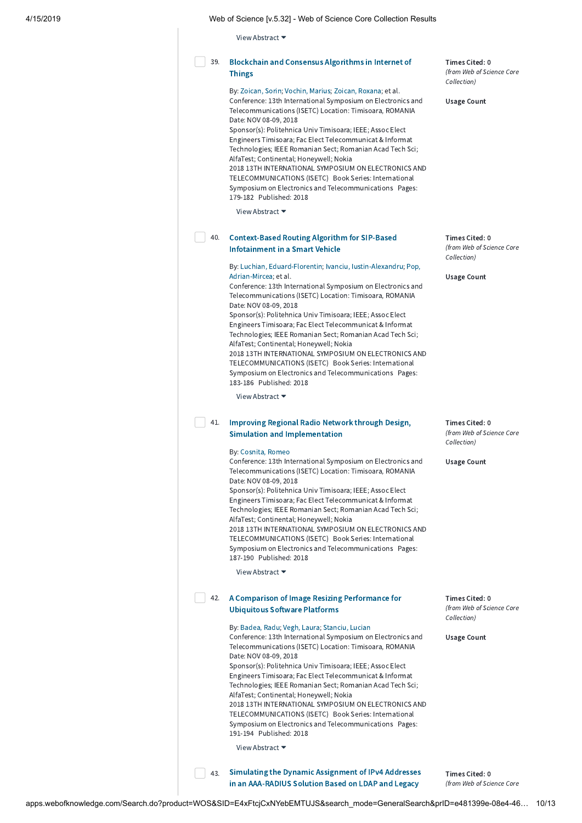View Abstract ▼

#### [Blockchain](http://apps.webofknowledge.com/full_record.do?product=WOS&search_mode=GeneralSearch&qid=13&SID=E4xFtcjCxNYebEMTUJS&page=1&doc=39) and Consensus Algorithms in Internet of **Things** 39.

By: [Zoican,](http://apps.webofknowledge.com/OneClickSearch.do?product=WOS&search_mode=OneClickSearch&excludeEventConfig=ExcludeIfFromFullRecPage&colName=WOS&SID=E4xFtcjCxNYebEMTUJS&field=AU&value=Zoican,%20Sorin) Sorin; [Vochin,](http://apps.webofknowledge.com/OneClickSearch.do?product=WOS&search_mode=OneClickSearch&excludeEventConfig=ExcludeIfFromFullRecPage&colName=WOS&SID=E4xFtcjCxNYebEMTUJS&field=AU&value=Vochin,%20Marius) Marius; Zoican, [Roxana;](http://apps.webofknowledge.com/OneClickSearch.do?product=WOS&search_mode=OneClickSearch&excludeEventConfig=ExcludeIfFromFullRecPage&colName=WOS&SID=E4xFtcjCxNYebEMTUJS&field=AU&value=Zoican,%20Roxana) et al. Conference: 13th International Symposium on Electronics and Telecommunications (ISETC) Location: Timisoara, ROMANIA Date: NOV 08-09, 2018

Sponsor(s): Politehnica Univ Timisoara; IEEE; Assoc Elect Engineers Timisoara; Fac Elect Telecommunicat & Informat Technologies; IEEE Romanian Sect; Romanian Acad Tech Sci; AlfaTest; Continental; Honeywell; Nokia 2018 13TH INTERNATIONAL SYMPOSIUM ON ELECTRONICS AND TELECOMMUNICATIONS (ISETC) Book Series: International Symposium on Electronics and Telecommunications Pages: 179-182 Published: 2018

View Abstract ▼

#### [Context-Based](http://apps.webofknowledge.com/full_record.do?product=WOS&search_mode=GeneralSearch&qid=13&SID=E4xFtcjCxNYebEMTUJS&page=1&doc=40) Routing Algorithm for SIP-Based Infotainment in a Smart Vehicle 40.

By: Luchian, [Eduard-Florenti](http://apps.webofknowledge.com/OneClickSearch.do?product=WOS&search_mode=OneClickSearch&excludeEventConfig=ExcludeIfFromFullRecPage&colName=WOS&SID=E4xFtcjCxNYebEMTUJS&field=AU&value=Luchian,%20Eduard-Florentin)[n;](http://apps.webofknowledge.com/OneClickSearch.do?product=WOS&search_mode=OneClickSearch&excludeEventConfig=ExcludeIfFromFullRecPage&colName=WOS&SID=E4xFtcjCxNYebEMTUJS&field=AU&value=Pop,%20Adrian-Mircea) Ivanciu, [Iustin-Alexandru;](http://apps.webofknowledge.com/OneClickSearch.do?product=WOS&search_mode=OneClickSearch&excludeEventConfig=ExcludeIfFromFullRecPage&colName=WOS&SID=E4xFtcjCxNYebEMTUJS&field=AU&value=Ivanciu,%20Iustin-Alexandru) Pop, Adrian-Mircea; et al.

Conference: 13th International Symposium on Electronics and Telecommunications (ISETC) Location: Timisoara, ROMANIA Date: NOV 08-09, 2018

Sponsor(s): Politehnica Univ Timisoara; IEEE; Assoc Elect Engineers Timisoara; Fac Elect Telecommunicat & Informat Technologies; IEEE Romanian Sect; Romanian Acad Tech Sci; AlfaTest; Continental; Honeywell; Nokia 2018 13TH INTERNATIONAL SYMPOSIUM ON ELECTRONICS AND

TELECOMMUNICATIONS (ISETC) Book Series: International Symposium on Electronics and Telecommunications Pages: 183-186 Published: 2018

View Abstract ▼

# 41. Improving Regional Radio Network through Design, Simulation and [Implementation](http://apps.webofknowledge.com/full_record.do?product=WOS&search_mode=GeneralSearch&qid=13&SID=E4xFtcjCxNYebEMTUJS&page=1&doc=41)

### By: [Cosnita,](http://apps.webofknowledge.com/OneClickSearch.do?product=WOS&search_mode=OneClickSearch&excludeEventConfig=ExcludeIfFromFullRecPage&colName=WOS&SID=E4xFtcjCxNYebEMTUJS&field=AU&value=Cosnita,%20Romeo) Romeo

Conference: 13th International Symposium on Electronics and Telecommunications (ISETC) Location: Timisoara, ROMANIA Date: NOV 08-09, 2018 Sponsor(s): Politehnica Univ Timisoara; IEEE; Assoc Elect Engineers Timisoara; Fac Elect Telecommunicat & Informat Technologies; IEEE Romanian Sect; Romanian Acad Tech Sci; AlfaTest; Continental; Honeywell; Nokia 2018 13TH INTERNATIONAL SYMPOSIUM ON ELECTRONICS AND

TELECOMMUNICATIONS (ISETC) Book Series: International Symposium on Electronics and Telecommunications Pages: 187-190 Published: 2018

View Abstract ▼

# 42. A Comparison of Image Resizing [Performance](http://apps.webofknowledge.com/full_record.do?product=WOS&search_mode=GeneralSearch&qid=13&SID=E4xFtcjCxNYebEMTUJS&page=1&doc=42) for Ubiquitous Software Platforms

By: [Badea,](http://apps.webofknowledge.com/OneClickSearch.do?product=WOS&search_mode=OneClickSearch&excludeEventConfig=ExcludeIfFromFullRecPage&colName=WOS&SID=E4xFtcjCxNYebEMTUJS&field=AU&value=Badea,%20Radu) Radu; Vegh, [Laura](http://apps.webofknowledge.com/OneClickSearch.do?product=WOS&search_mode=OneClickSearch&excludeEventConfig=ExcludeIfFromFullRecPage&colName=WOS&SID=E4xFtcjCxNYebEMTUJS&field=AU&value=Vegh,%20Laura); [Stanciu,](http://apps.webofknowledge.com/OneClickSearch.do?product=WOS&search_mode=OneClickSearch&excludeEventConfig=ExcludeIfFromFullRecPage&colName=WOS&SID=E4xFtcjCxNYebEMTUJS&field=AU&value=Stanciu,%20Lucian) Lucian Conference: 13th International Symposium on Electronics and Telecommunications (ISETC) Location: Timisoara, ROMANIA Date: NOV 08-09, 2018 Sponsor(s): Politehnica Univ Timisoara; IEEE; Assoc Elect Engineers Timisoara; Fac Elect Telecommunicat & Informat Technologies; IEEE Romanian Sect; Romanian Acad Tech Sci; AlfaTest; Continental; Honeywell; Nokia 2018 13TH INTERNATIONAL SYMPOSIUM ON ELECTRONICS AND TELECOMMUNICATIONS (ISETC) Book Series: International Symposium on Electronics and Telecommunications Pages: 191-194 Published: 2018

View Abstract ▼

Simulating the Dynamic Assignment of IPv4 Addresses in an [AAA-RADIUS](http://apps.webofknowledge.com/full_record.do?product=WOS&search_mode=GeneralSearch&qid=13&SID=E4xFtcjCxNYebEMTUJS&page=1&doc=43) Solution Based on LDAP and Legacy 43.

Times Cited: 0 (from Web of Science Core

Times Cited: 0 (from Web of Science Core Collection)

Usage Count

Times Cited: 0 (from Web of Science Core Collection)

Usage Count

Times Cited: 0 (from Web of Science Core Collection)

Usage Count

Times Cited: 0 (from Web of Science Core Collection)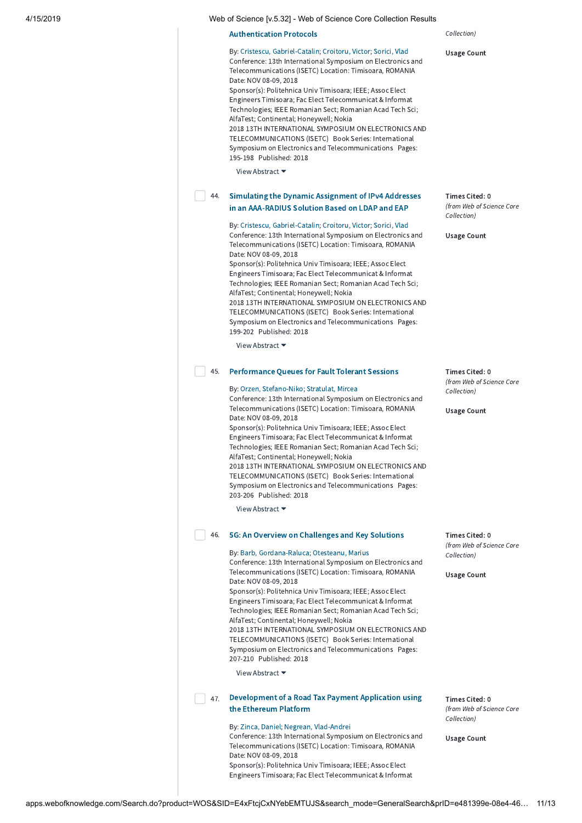| 4/15/2019<br>Web of Science Iv.5.321 - Web of Science Core Collection Results |
|-------------------------------------------------------------------------------|
|-------------------------------------------------------------------------------|

### [Authentication](http://apps.webofknowledge.com/full_record.do?product=WOS&search_mode=GeneralSearch&qid=13&SID=E4xFtcjCxNYebEMTUJS&page=1&doc=43) Protocols

By: Cristescu, [Gabriel-Catalin](http://apps.webofknowledge.com/OneClickSearch.do?product=WOS&search_mode=OneClickSearch&excludeEventConfig=ExcludeIfFromFullRecPage&colName=WOS&SID=E4xFtcjCxNYebEMTUJS&field=AU&value=Cristescu,%20Gabriel-Catalin); [Croitoru,](http://apps.webofknowledge.com/OneClickSearch.do?product=WOS&search_mode=OneClickSearch&excludeEventConfig=ExcludeIfFromFullRecPage&colName=WOS&SID=E4xFtcjCxNYebEMTUJS&field=AU&value=Croitoru,%20Victor) Victor; [Sorici,](http://apps.webofknowledge.com/OneClickSearch.do?product=WOS&search_mode=OneClickSearch&excludeEventConfig=ExcludeIfFromFullRecPage&colName=WOS&SID=E4xFtcjCxNYebEMTUJS&field=AU&value=Sorici,%20Vlad) Vlad Conference: 13th International Symposium on Electronics and Telecommunications (ISETC) Location: Timisoara, ROMANIA Date: NOV 08-09, 2018 Sponsor(s): Politehnica Univ Timisoara; IEEE; Assoc Elect Engineers Timisoara; Fac Elect Telecommunicat & Informat Technologies; IEEE Romanian Sect; Romanian Acad Tech Sci; AlfaTest; Continental; Honeywell; Nokia

2018 13TH INTERNATIONAL SYMPOSIUM ON ELECTRONICS AND TELECOMMUNICATIONS (ISETC) Book Series: International Symposium on Electronics and Telecommunications Pages: 195-198 Published: 2018

View Abstract ▼

#### Simulating the Dynamic Assignment of IPv4 Addresses in an [AAA-RADIUS](http://apps.webofknowledge.com/full_record.do?product=WOS&search_mode=GeneralSearch&qid=13&SID=E4xFtcjCxNYebEMTUJS&page=1&doc=44) Solution Based on LDAP and EAP 44.

By: Cristescu, [Gabriel-Catalin](http://apps.webofknowledge.com/OneClickSearch.do?product=WOS&search_mode=OneClickSearch&excludeEventConfig=ExcludeIfFromFullRecPage&colName=WOS&SID=E4xFtcjCxNYebEMTUJS&field=AU&value=Cristescu,%20Gabriel-Catalin); [Croitoru,](http://apps.webofknowledge.com/OneClickSearch.do?product=WOS&search_mode=OneClickSearch&excludeEventConfig=ExcludeIfFromFullRecPage&colName=WOS&SID=E4xFtcjCxNYebEMTUJS&field=AU&value=Croitoru,%20Victor) Victor; [Sorici,](http://apps.webofknowledge.com/OneClickSearch.do?product=WOS&search_mode=OneClickSearch&excludeEventConfig=ExcludeIfFromFullRecPage&colName=WOS&SID=E4xFtcjCxNYebEMTUJS&field=AU&value=Sorici,%20Vlad) Vlad Conference: 13th International Symposium on Electronics and Telecommunications (ISETC) Location: Timisoara, ROMANIA Date: NOV 08-09, 2018

Sponsor(s): Politehnica Univ Timisoara; IEEE; Assoc Elect Engineers Timisoara; Fac Elect Telecommunicat & Informat Technologies; IEEE Romanian Sect; Romanian Acad Tech Sci; AlfaTest; Continental; Honeywell; Nokia 2018 13TH INTERNATIONAL SYMPOSIUM ON ELECTRONICS AND TELECOMMUNICATIONS (ISETC) Book Series: International Symposium on Electronics and Telecommunications Pages: 199-202 Published: 2018

View Abstract ▼

## 45. [Performance](http://apps.webofknowledge.com/full_record.do?product=WOS&search_mode=GeneralSearch&qid=13&SID=E4xFtcjCxNYebEMTUJS&page=1&doc=45) Queues for Fault Tolerant Sessions

## By: Orzen, [Stefano-Niko;](http://apps.webofknowledge.com/OneClickSearch.do?product=WOS&search_mode=OneClickSearch&excludeEventConfig=ExcludeIfFromFullRecPage&colName=WOS&SID=E4xFtcjCxNYebEMTUJS&field=AU&value=Orzen,%20Stefano-Niko) [Stratulat,](http://apps.webofknowledge.com/OneClickSearch.do?product=WOS&search_mode=OneClickSearch&excludeEventConfig=ExcludeIfFromFullRecPage&colName=WOS&SID=E4xFtcjCxNYebEMTUJS&field=AU&value=Stratulat,%20Mircea) Mircea

Conference: 13th International Symposium on Electronics and Telecommunications (ISETC) Location: Timisoara, ROMANIA Date: NOV 08-09, 2018

Sponsor(s): Politehnica Univ Timisoara; IEEE; Assoc Elect Engineers Timisoara; Fac Elect Telecommunicat & Informat Technologies; IEEE Romanian Sect; Romanian Acad Tech Sci; AlfaTest; Continental; Honeywell; Nokia 2018 13TH INTERNATIONAL SYMPOSIUM ON ELECTRONICS AND TELECOMMUNICATIONS (ISETC) Book Series: International Symposium on Electronics and Telecommunications Pages: 203-206 Published: 2018

View Abstract ▼

## 5G: An Overview on [Challenges](http://apps.webofknowledge.com/full_record.do?product=WOS&search_mode=GeneralSearch&qid=13&SID=E4xFtcjCxNYebEMTUJS&page=1&doc=46) and Key Solutions 46.

### By: Barb, [Gordana-Raluca;](http://apps.webofknowledge.com/OneClickSearch.do?product=WOS&search_mode=OneClickSearch&excludeEventConfig=ExcludeIfFromFullRecPage&colName=WOS&SID=E4xFtcjCxNYebEMTUJS&field=AU&value=Barb,%20Gordana-Raluca) [Otesteanu,](http://apps.webofknowledge.com/OneClickSearch.do?product=WOS&search_mode=OneClickSearch&excludeEventConfig=ExcludeIfFromFullRecPage&colName=WOS&SID=E4xFtcjCxNYebEMTUJS&field=AU&value=Otesteanu,%20Marius) Marius

Conference: 13th International Symposium on Electronics and Telecommunications (ISETC) Location: Timisoara, ROMANIA Date: NOV 08-09, 2018 Sponsor(s): Politehnica Univ Timisoara; IEEE; Assoc Elect Engineers Timisoara; Fac Elect Telecommunicat & Informat Technologies; IEEE Romanian Sect; Romanian Acad Tech Sci; AlfaTest; Continental; Honeywell; Nokia 2018 13TH INTERNATIONAL SYMPOSIUM ON ELECTRONICS AND

TELECOMMUNICATIONS (ISETC) Book Series: International Symposium on Electronics and Telecommunications Pages: 207-210 Published: 2018

View Abstract ▼

## [Development](http://apps.webofknowledge.com/full_record.do?product=WOS&search_mode=GeneralSearch&qid=13&SID=E4xFtcjCxNYebEMTUJS&page=1&doc=47) of a Road Tax Payment Application using 47. the Ethereum Platform

### By: Zinca, [Daniel;](http://apps.webofknowledge.com/OneClickSearch.do?product=WOS&search_mode=OneClickSearch&excludeEventConfig=ExcludeIfFromFullRecPage&colName=WOS&SID=E4xFtcjCxNYebEMTUJS&field=AU&value=Zinca,%20Daniel) Negrean, [Vlad-Andrei](http://apps.webofknowledge.com/OneClickSearch.do?product=WOS&search_mode=OneClickSearch&excludeEventConfig=ExcludeIfFromFullRecPage&colName=WOS&SID=E4xFtcjCxNYebEMTUJS&field=AU&value=Negrean,%20Vlad-Andrei)

Conference: 13th International Symposium on Electronics and Telecommunications (ISETC) Location: Timisoara, ROMANIA Date: NOV 08-09, 2018 Sponsor(s): Politehnica Univ Timisoara; IEEE; Assoc Elect Engineers Timisoara; Fac Elect Telecommunicat & Informat

## Collection)

Usage Count

Times Cited: 0 (from Web of Science Core Collection)

Usage Count

Times Cited: 0 (from Web of Science Core Collection)

Usage Count

Times Cited: 0 (from Web of Science Core Collection)

Usage Count

Times Cited: 0 (from Web of Science Core Collection)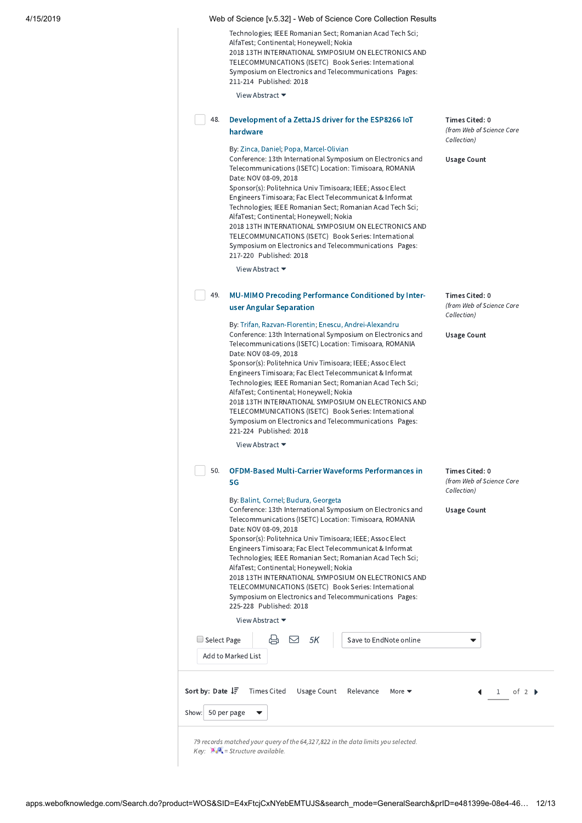Technologies; IEEE Romanian Sect; Romanian Acad Tech Sci; AlfaTest; Continental; Honeywell; Nokia 2018 13TH INTERNATIONAL SYMPOSIUM ON ELECTRONICS AND TELECOMMUNICATIONS (ISETC) Book Series: International Symposium on Electronics and Telecommunications Pages: 211-214 Published: 2018

View Abstract ▼

| 48. | Development of a ZettaJS driver for the ESP8266 IoT |
|-----|-----------------------------------------------------|
|     | hardware                                            |

By: Zinca, [Daniel;](http://apps.webofknowledge.com/OneClickSearch.do?product=WOS&search_mode=OneClickSearch&excludeEventConfig=ExcludeIfFromFullRecPage&colName=WOS&SID=E4xFtcjCxNYebEMTUJS&field=AU&value=Zinca,%20Daniel) Popa, [Marcel-Olivian](http://apps.webofknowledge.com/OneClickSearch.do?product=WOS&search_mode=OneClickSearch&excludeEventConfig=ExcludeIfFromFullRecPage&colName=WOS&SID=E4xFtcjCxNYebEMTUJS&field=AU&value=Popa,%20Marcel-Olivian) Conference: 13th International Symposium on Electronics and Telecommunications (ISETC) Location: Timisoara, ROMANIA Date: NOV 08-09, 2018 Sponsor(s): Politehnica Univ Timisoara; IEEE; Assoc Elect Engineers Timisoara; Fac Elect Telecommunicat & Informat Technologies; IEEE Romanian Sect; Romanian Acad Tech Sci; AlfaTest; Continental; Honeywell; Nokia 2018 13TH INTERNATIONAL SYMPOSIUM ON ELECTRONICS AND TELECOMMUNICATIONS (ISETC) Book Series: International Symposium on Electronics and Telecommunications Pages: 217-220 Published: 2018

View Abstract ▼

#### MU-MIMO Precoding [Performance](http://apps.webofknowledge.com/full_record.do?product=WOS&search_mode=GeneralSearch&qid=13&SID=E4xFtcjCxNYebEMTUJS&page=1&doc=49) Conditioned by Interuser Angular Separation 49.

By: Trifan, [Razvan-Florentin;](http://apps.webofknowledge.com/OneClickSearch.do?product=WOS&search_mode=OneClickSearch&excludeEventConfig=ExcludeIfFromFullRecPage&colName=WOS&SID=E4xFtcjCxNYebEMTUJS&field=AU&value=Trifan,%20Razvan-Florentin) Enescu, [Andrei-Alexandru](http://apps.webofknowledge.com/OneClickSearch.do?product=WOS&search_mode=OneClickSearch&excludeEventConfig=ExcludeIfFromFullRecPage&colName=WOS&SID=E4xFtcjCxNYebEMTUJS&field=AU&value=Enescu,%20Andrei-Alexandru) Conference: 13th International Symposium on Electronics and Telecommunications (ISETC) Location: Timisoara, ROMANIA Date: NOV 08-09, 2018 Sponsor(s): Politehnica Univ Timisoara; IEEE; Assoc Elect Engineers Timisoara; Fac Elect Telecommunicat & Informat Technologies; IEEE Romanian Sect; Romanian Acad Tech Sci;

AlfaTest; Continental; Honeywell; Nokia 2018 13TH INTERNATIONAL SYMPOSIUM ON ELECTRONICS AND TELECOMMUNICATIONS (ISETC) Book Series: International Symposium on Electronics and Telecommunications Pages: 221-224 Published: 2018

View Abstract ▼

### OFDM-Based [Multi-Carrier](http://apps.webofknowledge.com/full_record.do?product=WOS&search_mode=GeneralSearch&qid=13&SID=E4xFtcjCxNYebEMTUJS&page=1&doc=50) Waveforms Performances in 5G 50.

## By: Balint, [Cornel](http://apps.webofknowledge.com/OneClickSearch.do?product=WOS&search_mode=OneClickSearch&excludeEventConfig=ExcludeIfFromFullRecPage&colName=WOS&SID=E4xFtcjCxNYebEMTUJS&field=AU&value=Balint,%20Cornel); [Budura,](http://apps.webofknowledge.com/OneClickSearch.do?product=WOS&search_mode=OneClickSearch&excludeEventConfig=ExcludeIfFromFullRecPage&colName=WOS&SID=E4xFtcjCxNYebEMTUJS&field=AU&value=Budura,%20Georgeta) Georgeta

Conference: 13th International Symposium on Electronics and Telecommunications (ISETC) Location: Timisoara, ROMANIA Date: NOV 08-09, 2018 Sponsor(s): Politehnica Univ Timisoara; IEEE; Assoc Elect Engineers Timisoara; Fac Elect Telecommunicat & Informat Technologies; IEEE Romanian Sect; Romanian Acad Tech Sci; AlfaTest; Continental; Honeywell; Nokia 2018 13TH INTERNATIONAL SYMPOSIUM ON ELECTRONICS AND TELECOMMUNICATIONS (ISETC) Book Series: International Symposium on Electronics and Telecommunications Pages:

Times Cited: 0 (from Web of Science Core

Times Cited: 0 (from Web of Science Core

Collection)

Usage Count

Collection)

Usage Count

Times Cited: 0 (from Web of Science Core Collection)

Usage Count

| 225-228 Published: 2018                                                                                                                        |                                                             |
|------------------------------------------------------------------------------------------------------------------------------------------------|-------------------------------------------------------------|
| View Abstract $\blacktriangleright$                                                                                                            |                                                             |
| ⊕ ⊠ 5К<br>Select Page                                                                                                                          | Save to EndNote online                                      |
| Add to Marked List                                                                                                                             |                                                             |
| <b>Sort by: Date <math>\downarrow \frac{1}{2}</math></b> Times Cited Usage Count Relevance<br>50 per page<br>Show:<br>$\overline{\phantom{a}}$ | More $\blacktriangledown$<br>$1$ of $2 \blacktriangleright$ |

79 records matched your query of the 64,327,822 in the data limits you selected.  $Key: 2.3$  = Structure available.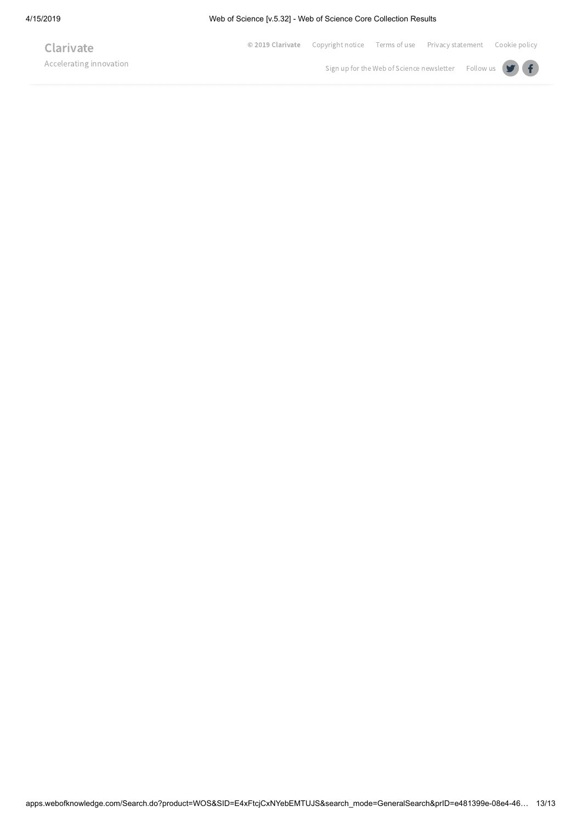Accelerating innovation

**Clarivate** 

© 2019 [Clarivate](javascript: void() [Copyright](javascript: void() notice [Terms](javascript: void() of use Privacy [statement](javascript: void() [Cookie](javascript: void() policy

Sign up for the Web of Science [newsletter](javascript: void() Follow us  $\bigcirc$   $\bigcirc$ 

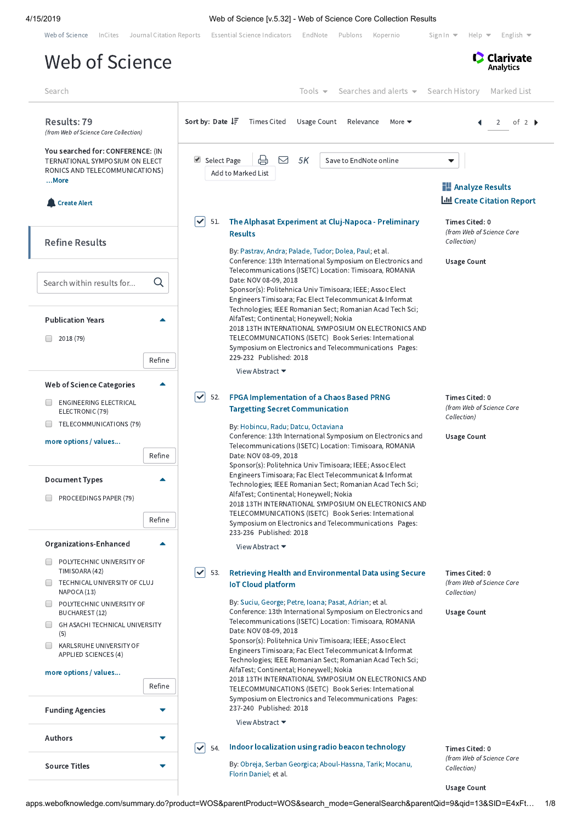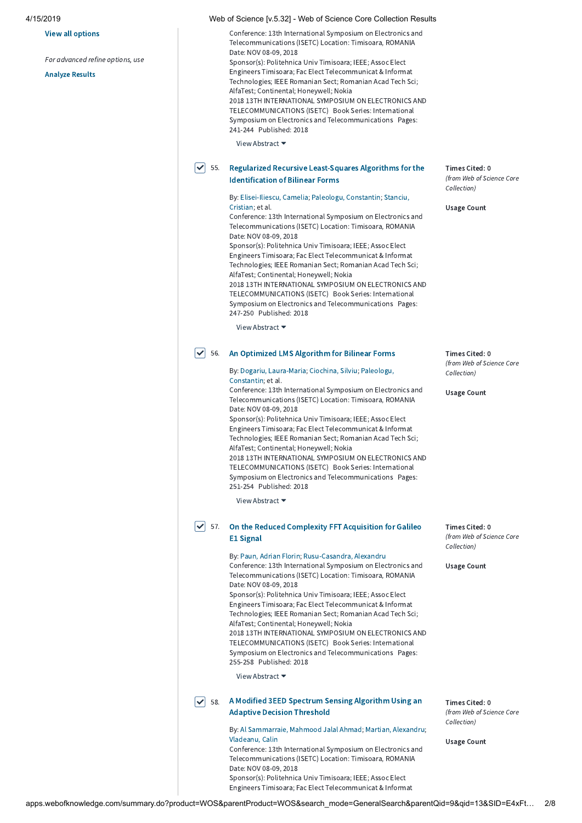### View all options

For advanced refine options, use

[Analyze](http://apps.webofknowledge.com/OutboundService.do?action=go&mode=raService&queryOption(summary_search_mode)=GeneralSearch&SID=E4xFtcjCxNYebEMTUJS&product=WOS&parentProduct=WOS&parentQid=13&colName=WOS&MARKEDLIST=0) Results

Conference: 13th International Symposium on Electronics and Telecommunications (ISETC) Location: Timisoara, ROMANIA Date: NOV 08-09, 2018 Sponsor(s): Politehnica Univ Timisoara; IEEE; Assoc Elect Engineers Timisoara; Fac Elect Telecommunicat & Informat Technologies; IEEE Romanian Sect; Romanian Acad Tech Sci; AlfaTest; Continental; Honeywell; Nokia 2018 13TH INTERNATIONAL SYMPOSIUM ON ELECTRONICS AND TELECOMMUNICATIONS (ISETC) Book Series: International Symposium on Electronics and Telecommunications Pages: 241-244 Published: 2018 View Abstract ▼

#### Regularized Recursive [Least-Squares](http://apps.webofknowledge.com/full_record.do?product=WOS&search_mode=GeneralSearch&qid=13&SID=E4xFtcjCxNYebEMTUJS&page=2&doc=55) Algorithms for the Identification of Bilinear Forms  $\sqrt{ }$  55.

## By: [Elisei-Iliescu,](http://apps.webofknowledge.com/OneClickSearch.do?product=WOS&search_mode=OneClickSearch&excludeEventConfig=ExcludeIfFromFullRecPage&colName=WOS&SID=E4xFtcjCxNYebEMTUJS&field=AU&value=Elisei-Iliescu,%20Camelia) Camelia; Paleologu, [Constantin;](http://apps.webofknowledge.com/OneClickSearch.do?product=WOS&search_mode=OneClickSearch&excludeEventConfig=ExcludeIfFromFullRecPage&colName=WOS&SID=E4xFtcjCxNYebEMTUJS&field=AU&value=Paleologu,%20Constantin) Stanciu, Cristian; et al.

Conference: 13th International Symposium on Electronics and Telecommunications (ISETC) Location: Timisoara, ROMANIA Date: NOV 08-09, 2018

Sponsor(s): Politehnica Univ Timisoara; IEEE; Assoc Elect Engineers Timisoara; Fac Elect Telecommunicat & Informat Technologies; IEEE Romanian Sect; Romanian Acad Tech Sci; AlfaTest; Continental; Honeywell; Nokia 2018 13TH INTERNATIONAL SYMPOSIUM ON ELECTRONICS AND

TELECOMMUNICATIONS (ISETC) Book Series: International Symposium on Electronics and Telecommunications Pages: 247-250 Published: 2018

View Abstract ▼

## $\blacktriangleright$  56. An [Optimized](http://apps.webofknowledge.com/full_record.do?product=WOS&search_mode=GeneralSearch&qid=13&SID=E4xFtcjCxNYebEMTUJS&page=2&doc=56) LMS Algorithm for Bilinear Forms

By: Dogariu, [Laura-Mari](http://apps.webofknowledge.com/OneClickSearch.do?product=WOS&search_mode=OneClickSearch&excludeEventConfig=ExcludeIfFromFullRecPage&colName=WOS&SID=E4xFtcjCxNYebEMTUJS&field=AU&value=Dogariu,%20Laura-Maria)[a;](http://apps.webofknowledge.com/OneClickSearch.do?product=WOS&search_mode=OneClickSearch&excludeEventConfig=ExcludeIfFromFullRecPage&colName=WOS&SID=E4xFtcjCxNYebEMTUJS&field=AU&value=Paleologu,%20Constantin) [Ciochina,](http://apps.webofknowledge.com/OneClickSearch.do?product=WOS&search_mode=OneClickSearch&excludeEventConfig=ExcludeIfFromFullRecPage&colName=WOS&SID=E4xFtcjCxNYebEMTUJS&field=AU&value=Ciochina,%20Silviu) Silviu; Paleologu, Constantin; et al.

Conference: 13th International Symposium on Electronics and Telecommunications (ISETC) Location: Timisoara, ROMANIA Date: NOV 08-09, 2018

Sponsor(s): Politehnica Univ Timisoara; IEEE; Assoc Elect Engineers Timisoara; Fac Elect Telecommunicat & Informat Technologies; IEEE Romanian Sect; Romanian Acad Tech Sci; AlfaTest; Continental; Honeywell; Nokia 2018 13TH INTERNATIONAL SYMPOSIUM ON ELECTRONICS AND TELECOMMUNICATIONS (ISETC) Book Series: International Symposium on Electronics and Telecommunications Pages: 251-254 Published: 2018

View Abstract ▼

## $\blacktriangledown$  57. On the Reduced [Complexity](http://apps.webofknowledge.com/full_record.do?product=WOS&search_mode=GeneralSearch&qid=13&SID=E4xFtcjCxNYebEMTUJS&page=2&doc=57) FFT Acquisition for Galileo E1 Signal

### By: Paun, Adrian [Florin](http://apps.webofknowledge.com/OneClickSearch.do?product=WOS&search_mode=OneClickSearch&excludeEventConfig=ExcludeIfFromFullRecPage&colName=WOS&SID=E4xFtcjCxNYebEMTUJS&field=AU&value=Paun,%20Adrian%20Florin); [Rusu-Casandra,](http://apps.webofknowledge.com/OneClickSearch.do?product=WOS&search_mode=OneClickSearch&excludeEventConfig=ExcludeIfFromFullRecPage&colName=WOS&SID=E4xFtcjCxNYebEMTUJS&field=AU&value=Rusu-Casandra,%20Alexandru) Alexandru

Conference: 13th International Symposium on Electronics and Telecommunications (ISETC) Location: Timisoara, ROMANIA Date: NOV 08-09, 2018 Sponsor(s): Politehnica Univ Timisoara; IEEE; Assoc Elect Engineers Timisoara; Fac Elect Telecommunicat & Informat Technologies; IEEE Romanian Sect; Romanian Acad Tech Sci; AlfaTest; Continental; Honeywell; Nokia 2018 13TH INTERNATIONAL SYMPOSIUM ON ELECTRONICS AND TELECOMMUNICATIONS (ISETC) Book Series: International Symposium on Electronics and Telecommunications Pages: 255-258 Published: 2018

View Abstract ▼

### A Modified [3EED Spectrum](http://apps.webofknowledge.com/full_record.do?product=WOS&search_mode=GeneralSearch&qid=13&SID=E4xFtcjCxNYebEMTUJS&page=2&doc=58) Sensing Algorithm Using an Adaptive Decision Threshold  $\sqrt{58}$ .

By: Al [Sammarraie,](http://apps.webofknowledge.com/OneClickSearch.do?product=WOS&search_mode=OneClickSearch&excludeEventConfig=ExcludeIfFromFullRecPage&colName=WOS&SID=E4xFtcjCxNYebEMTUJS&field=AU&value=Al%20Sammarraie,%20Mahmood%20Jalal%20Ahmad) Mahmood Jalal Ahmad; Martian, [Alexandru;](http://apps.webofknowledge.com/OneClickSearch.do?product=WOS&search_mode=OneClickSearch&excludeEventConfig=ExcludeIfFromFullRecPage&colName=WOS&SID=E4xFtcjCxNYebEMTUJS&field=AU&value=Martian,%20Alexandru) [Vladeanu,](http://apps.webofknowledge.com/OneClickSearch.do?product=WOS&search_mode=OneClickSearch&excludeEventConfig=ExcludeIfFromFullRecPage&colName=WOS&SID=E4xFtcjCxNYebEMTUJS&field=AU&value=Vladeanu,%20Calin) Calin Conference: 13th International Symposium on Electronics and Telecommunications (ISETC) Location: Timisoara, ROMANIA Date: NOV 08-09, 2018

Sponsor(s): Politehnica Univ Timisoara; IEEE; Assoc Elect Engineers Timisoara; Fac Elect Telecommunicat & Informat Times Cited: 0 (from Web of Science Core Collection)

Usage Count

Times Cited: 0 (from Web of Science Core Collection)

Usage Count

Times Cited: 0 (from Web of Science Core Collection)

Usage Count

Times Cited: 0 (from Web of Science Core Collection)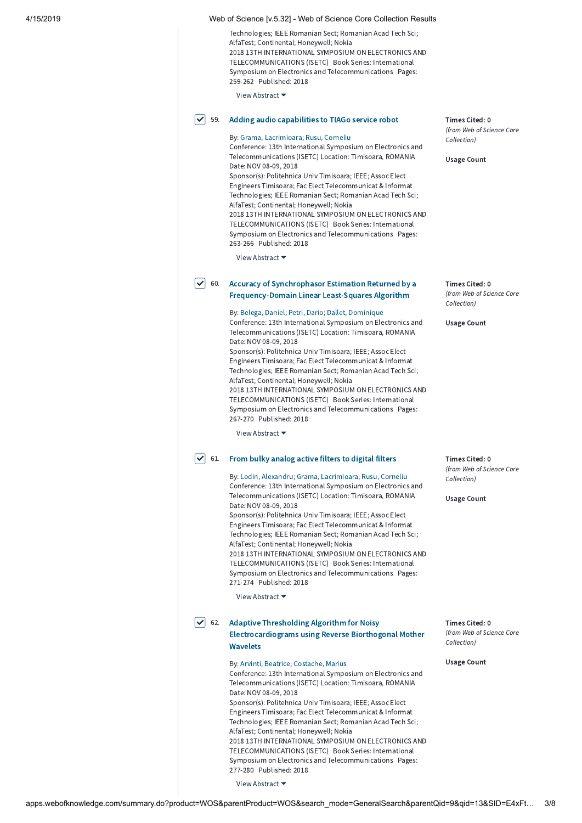| 4/15/2019 |                                    | Web of Science [v.5.32] - Web of Science Core Collection Results                                                                                                                                                                                                                                                                                                                                                                                                                                                                                                                                                                                     |                                                                                  |
|-----------|------------------------------------|------------------------------------------------------------------------------------------------------------------------------------------------------------------------------------------------------------------------------------------------------------------------------------------------------------------------------------------------------------------------------------------------------------------------------------------------------------------------------------------------------------------------------------------------------------------------------------------------------------------------------------------------------|----------------------------------------------------------------------------------|
|           |                                    | Technologies; IEEE Romanian Sect; Romanian Acad Tech Sci;<br>AlfaTest; Continental; Honeywell; Nokia<br>2018 13TH INTERNATIONAL SYMPOSIUM ON ELECTRONICS AND<br>TELECOMMUNICATIONS (ISETC) Book Series: International<br>Symposium on Electronics and Telecommunications Pages:<br>259-262 Published: 2018                                                                                                                                                                                                                                                                                                                                           |                                                                                  |
|           |                                    | View Abstract ▼                                                                                                                                                                                                                                                                                                                                                                                                                                                                                                                                                                                                                                      |                                                                                  |
|           | $\vert\bm{\checkmark}\vert$<br>59. | Adding audio capabilities to TIAGo service robot<br>By: Grama, Lacrimioara; Rusu, Corneliu<br>Conference: 13th International Symposium on Electronics and<br>Telecommunications (ISETC) Location: Timisoara, ROMANIA<br>Date: NOV 08-09, 2018<br>Sponsor(s): Politehnica Univ Timisoara; IEEE; Assoc Elect<br>Engineers Timisoara; Fac Elect Telecommunicat & Informat                                                                                                                                                                                                                                                                               | Times Cited: 0<br>(from Web of Science Core<br>Collection)<br><b>Usage Count</b> |
|           |                                    | Technologies; IEEE Romanian Sect; Romanian Acad Tech Sci;<br>AlfaTest; Continental; Honeywell; Nokia<br>2018 13TH INTERNATIONAL SYMPOSIUM ON ELECTRONICS AND<br>TELECOMMUNICATIONS (ISETC) Book Series: International<br>Symposium on Electronics and Telecommunications Pages:<br>263-266 Published: 2018<br>View Abstract $\blacktriangledown$                                                                                                                                                                                                                                                                                                     |                                                                                  |
|           | $\checkmark$<br>60.                | Accuracy of Synchrophasor Estimation Returned by a                                                                                                                                                                                                                                                                                                                                                                                                                                                                                                                                                                                                   | Times Cited: 0                                                                   |
|           |                                    | <b>Frequency-Domain Linear Least-Squares Algorithm</b>                                                                                                                                                                                                                                                                                                                                                                                                                                                                                                                                                                                               | (from Web of Science Core<br>Collection)                                         |
|           |                                    | By: Belega, Daniel; Petri, Dario; Dallet, Dominique<br>Conference: 13th International Symposium on Electronics and<br>Telecommunications (ISETC) Location: Timisoara, ROMANIA<br>Date: NOV 08-09, 2018<br>Sponsor(s): Politehnica Univ Timisoara; IEEE; Assoc Elect<br>Engineers Timisoara; Fac Elect Telecommunicat & Informat<br>Technologies; IEEE Romanian Sect; Romanian Acad Tech Sci;<br>AlfaTest; Continental; Honeywell; Nokia<br>2018 13TH INTERNATIONAL SYMPOSIUM ON ELECTRONICS AND<br>TELECOMMUNICATIONS (ISETC) Book Series: International<br>Symposium on Electronics and Telecommunications Pages:<br>267-270 Published: 2018        | <b>Usage Count</b>                                                               |
|           |                                    | View Abstract ▼                                                                                                                                                                                                                                                                                                                                                                                                                                                                                                                                                                                                                                      |                                                                                  |
|           | $\checkmark$<br>61.                | From bulky analog active filters to digital filters<br>By: Lodin, Alexandru; Grama, Lacrimioara; Rusu, Corneliu                                                                                                                                                                                                                                                                                                                                                                                                                                                                                                                                      | Times Cited: 0<br>(from Web of Science Core<br>Collection)                       |
|           |                                    | Conference: 13th International Symposium on Electronics and<br>Telecommunications (ISETC) Location: Timisoara, ROMANIA<br>Date: NOV 08-09, 2018<br>Sponsor(s): Politehnica Univ Timisoara; IEEE; Assoc Elect<br>Engineers Timisoara; Fac Elect Telecommunicat & Informat<br>Technologies; IEEE Romanian Sect; Romanian Acad Tech Sci;<br>AlfaTest; Continental; Honeywell; Nokia<br>2018 13TH INTERNATIONAL SYMPOSIUM ON ELECTRONICS AND<br>TELECOMMUNICATIONS (ISETC) Book Series: International<br>Symposium on Electronics and Telecommunications Pages:<br>271-274 Published: 2018<br>View Abstract $\blacktriangleright$                        | <b>Usage Count</b>                                                               |
|           | $\vert\bm{\checkmark}\vert$<br>62. | <b>Adaptive Thresholding Algorithm for Noisy</b>                                                                                                                                                                                                                                                                                                                                                                                                                                                                                                                                                                                                     | Times Cited: 0                                                                   |
|           |                                    | <b>Electrocardiograms using Reverse Biorthogonal Mother</b><br><b>Wavelets</b>                                                                                                                                                                                                                                                                                                                                                                                                                                                                                                                                                                       | (from Web of Science Core<br>Collection)                                         |
|           |                                    | By: Arvinti, Beatrice; Costache, Marius<br>Conference: 13th International Symposium on Electronics and<br>Telecommunications (ISETC) Location: Timisoara, ROMANIA<br>Date: NOV 08-09, 2018<br>Sponsor(s): Politehnica Univ Timisoara; IEEE; Assoc Elect<br>Engineers Timisoara; Fac Elect Telecommunicat & Informat<br>Technologies; IEEE Romanian Sect; Romanian Acad Tech Sci;<br>AlfaTest; Continental; Honeywell; Nokia<br>2018 13TH INTERNATIONAL SYMPOSIUM ON ELECTRONICS AND<br>TELECOMMUNICATIONS (ISETC) Book Series: International<br>Symposium on Electronics and Telecommunications Pages:<br>277-280 Published: 2018<br>View Abstract ▼ | <b>Usage Count</b>                                                               |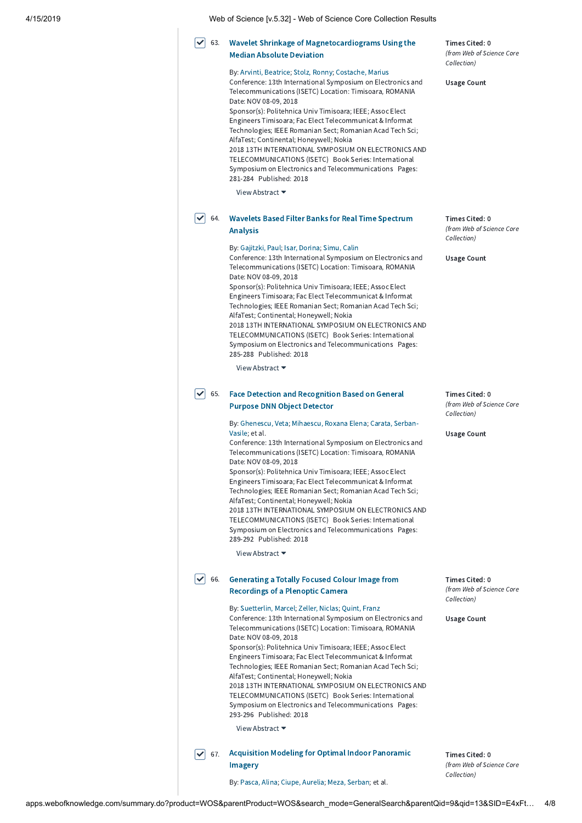| 4/15/2019 |  | Web of Science Iv.5.321 - Web of Science Core Collection Results |
|-----------|--|------------------------------------------------------------------|
|-----------|--|------------------------------------------------------------------|

#### Wavelet Shrinkage of [Magnetocardiograms](http://apps.webofknowledge.com/full_record.do?product=WOS&search_mode=GeneralSearch&qid=13&SID=E4xFtcjCxNYebEMTUJS&page=2&doc=63) Using the Median Absolute Deviation  $\triangleright$  63.

By: Arvinti, [Beatrice](http://apps.webofknowledge.com/OneClickSearch.do?product=WOS&search_mode=OneClickSearch&excludeEventConfig=ExcludeIfFromFullRecPage&colName=WOS&SID=E4xFtcjCxNYebEMTUJS&field=AU&value=Arvinti,%20Beatrice); Stolz, [Ronny](http://apps.webofknowledge.com/OneClickSearch.do?product=WOS&search_mode=OneClickSearch&excludeEventConfig=ExcludeIfFromFullRecPage&colName=WOS&SID=E4xFtcjCxNYebEMTUJS&field=AU&value=Stolz,%20Ronny); [Costache,](http://apps.webofknowledge.com/OneClickSearch.do?product=WOS&search_mode=OneClickSearch&excludeEventConfig=ExcludeIfFromFullRecPage&colName=WOS&SID=E4xFtcjCxNYebEMTUJS&field=AU&value=Costache,%20Marius) Marius Conference: 13th International Symposium on Electronics and Telecommunications (ISETC) Location: Timisoara, ROMANIA Date: NOV 08-09, 2018 Sponsor(s): Politehnica Univ Timisoara; IEEE; Assoc Elect Engineers Timisoara; Fac Elect Telecommunicat & Informat Technologies; IEEE Romanian Sect; Romanian Acad Tech Sci; AlfaTest; Continental; Honeywell; Nokia 2018 13TH INTERNATIONAL SYMPOSIUM ON ELECTRONICS AND TELECOMMUNICATIONS (ISETC) Book Series: International

Symposium on Electronics and Telecommunications Pages: 281-284 Published: 2018

View Abstract ▼

## $\blacktriangledown]$  64. Wavelets Based Filter Banks for Real Time [Spectrum](http://apps.webofknowledge.com/full_record.do?product=WOS&search_mode=GeneralSearch&qid=13&SID=E4xFtcjCxNYebEMTUJS&page=2&doc=64) Analysis

## By: [Gajitzki,](http://apps.webofknowledge.com/OneClickSearch.do?product=WOS&search_mode=OneClickSearch&excludeEventConfig=ExcludeIfFromFullRecPage&colName=WOS&SID=E4xFtcjCxNYebEMTUJS&field=AU&value=Gajitzki,%20Paul) Paul; Isar, [Dorina;](http://apps.webofknowledge.com/OneClickSearch.do?product=WOS&search_mode=OneClickSearch&excludeEventConfig=ExcludeIfFromFullRecPage&colName=WOS&SID=E4xFtcjCxNYebEMTUJS&field=AU&value=Isar,%20Dorina) [Simu,](http://apps.webofknowledge.com/OneClickSearch.do?product=WOS&search_mode=OneClickSearch&excludeEventConfig=ExcludeIfFromFullRecPage&colName=WOS&SID=E4xFtcjCxNYebEMTUJS&field=AU&value=Simu,%20Calin) Calin

Conference: 13th International Symposium on Electronics and Telecommunications (ISETC) Location: Timisoara, ROMANIA Date: NOV 08-09, 2018

Sponsor(s): Politehnica Univ Timisoara; IEEE; Assoc Elect Engineers Timisoara; Fac Elect Telecommunicat & Informat Technologies; IEEE Romanian Sect; Romanian Acad Tech Sci; AlfaTest; Continental; Honeywell; Nokia 2018 13TH INTERNATIONAL SYMPOSIUM ON ELECTRONICS AND TELECOMMUNICATIONS (ISETC) Book Series: International Symposium on Electronics and Telecommunications Pages: 285-288 Published: 2018

View Abstract ▼

### Face Detection and [Recognition](http://apps.webofknowledge.com/full_record.do?product=WOS&search_mode=GeneralSearch&qid=13&SID=E4xFtcjCxNYebEMTUJS&page=2&doc=65) Based on General Purpose DNN Object Detector  $\boxed{\triangledown}$  65.

By: [Ghenescu,](http://apps.webofknowledge.com/OneClickSearch.do?product=WOS&search_mode=OneClickSearch&excludeEventConfig=ExcludeIfFromFullRecPage&colName=WOS&SID=E4xFtcjCxNYebEMTUJS&field=AU&value=Ghenescu,%20Veta) Veta; [Mihaescu,](http://apps.webofknowledge.com/OneClickSearch.do?product=WOS&search_mode=OneClickSearch&excludeEventConfig=ExcludeIfFromFullRecPage&colName=WOS&SID=E4xFtcjCxNYebEMTUJS&field=AU&value=Mihaescu,%20Roxana%20Elena) Roxana Elena; Carata, Serban-Vasile; et al.

Conference: 13th International Symposium on Electronics and Telecommunications (ISETC) Location: Timisoara, ROMANIA Date: NOV 08-09, 2018

Sponsor(s): Politehnica Univ Timisoara; IEEE; Assoc Elect Engineers Timisoara; Fac Elect Telecommunicat & Informat Technologies; IEEE Romanian Sect; Romanian Acad Tech Sci; AlfaTest; Continental; Honeywell; Nokia 2018 13TH INTERNATIONAL SYMPOSIUM ON ELECTRONICS AND TELECOMMUNICATIONS (ISETC) Book Series: International Symposium on Electronics and Telecommunications Pages: 289-292 Published: 2018

View Abstract ▼

#### Generating a Totally Focused Colour Image from [Recordings](http://apps.webofknowledge.com/full_record.do?product=WOS&search_mode=GeneralSearch&qid=13&SID=E4xFtcjCxNYebEMTUJS&page=2&doc=66) of a Plenoptic Camera  $\vert\mathbf{v}\vert$  66.

By: [Suetterlin,](http://apps.webofknowledge.com/OneClickSearch.do?product=WOS&search_mode=OneClickSearch&excludeEventConfig=ExcludeIfFromFullRecPage&colName=WOS&SID=E4xFtcjCxNYebEMTUJS&field=AU&value=Suetterlin,%20Marcel) Marcel; [Zeller,](http://apps.webofknowledge.com/OneClickSearch.do?product=WOS&search_mode=OneClickSearch&excludeEventConfig=ExcludeIfFromFullRecPage&colName=WOS&SID=E4xFtcjCxNYebEMTUJS&field=AU&value=Zeller,%20Niclas) Niclas; [Quint,](http://apps.webofknowledge.com/OneClickSearch.do?product=WOS&search_mode=OneClickSearch&excludeEventConfig=ExcludeIfFromFullRecPage&colName=WOS&SID=E4xFtcjCxNYebEMTUJS&field=AU&value=Quint,%20Franz) Franz

Conference: 13th International Symposium on Electronics and Telecommunications (ISETC) Location: Timisoara, ROMANIA Date: NOV 08-09, 2018 Sponsor(s): Politehnica Univ Timisoara; IEEE; Assoc Elect Engineers Timisoara; Fac Elect Telecommunicat & Informat Technologies; IEEE Romanian Sect; Romanian Acad Tech Sci; AlfaTest; Continental; Honeywell; Nokia 2018 13TH INTERNATIONAL SYMPOSIUM ON ELECTRONICS AND TELECOMMUNICATIONS (ISETC) Book Series: International Symposium on Electronics and Telecommunications Pages:

293-296 Published: 2018

View Abstract ▼

 $\blacktriangledown$  67. [Acquisition](http://apps.webofknowledge.com/full_record.do?product=WOS&search_mode=GeneralSearch&qid=13&SID=E4xFtcjCxNYebEMTUJS&page=2&doc=67) Modeling for Optimal Indoor Panoramic Imagery

Times Cited: 0 (from Web of Science Core Collection)

By: [Pasca,](http://apps.webofknowledge.com/OneClickSearch.do?product=WOS&search_mode=OneClickSearch&excludeEventConfig=ExcludeIfFromFullRecPage&colName=WOS&SID=E4xFtcjCxNYebEMTUJS&field=AU&value=Pasca,%20Alina) Alina; Ciupe, [Aurelia](http://apps.webofknowledge.com/OneClickSearch.do?product=WOS&search_mode=OneClickSearch&excludeEventConfig=ExcludeIfFromFullRecPage&colName=WOS&SID=E4xFtcjCxNYebEMTUJS&field=AU&value=Ciupe,%20Aurelia); Meza, [Serban](http://apps.webofknowledge.com/OneClickSearch.do?product=WOS&search_mode=OneClickSearch&excludeEventConfig=ExcludeIfFromFullRecPage&colName=WOS&SID=E4xFtcjCxNYebEMTUJS&field=AU&value=Meza,%20Serban); et al.

Times Cited: 0 (from Web of Science Core Collection)

Usage Count

Times Cited: 0 (from Web of Science Core Collection)

Usage Count

Times Cited: 0 (from Web of Science Core Collection)

Usage Count

Times Cited: 0 (from Web of Science Core Collection)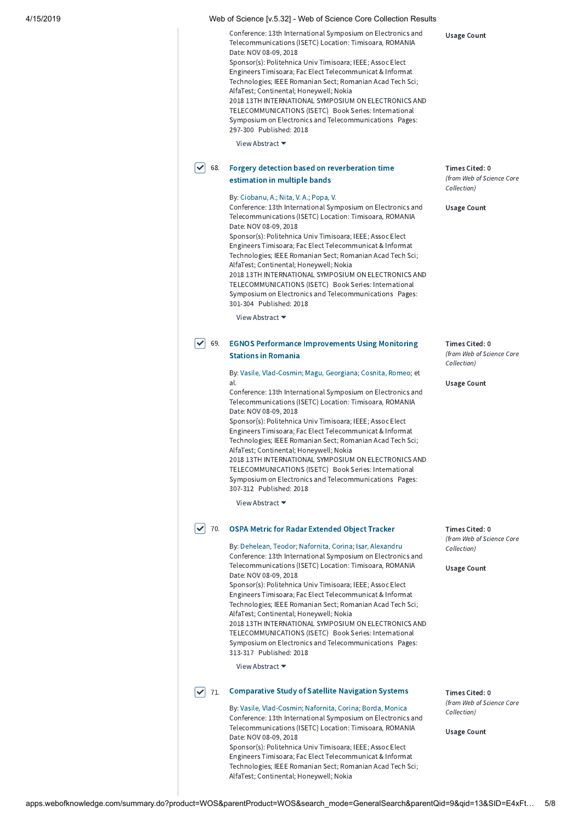| 4/15/2019 |                             | Web of Science [v.5.32] - Web of Science Core Collection Results                                                                                                                                                                                                                                                                                                                                                                                                                                                                                                                                                                                                                                                                                 |                                                                                  |
|-----------|-----------------------------|--------------------------------------------------------------------------------------------------------------------------------------------------------------------------------------------------------------------------------------------------------------------------------------------------------------------------------------------------------------------------------------------------------------------------------------------------------------------------------------------------------------------------------------------------------------------------------------------------------------------------------------------------------------------------------------------------------------------------------------------------|----------------------------------------------------------------------------------|
|           |                             | Conference: 13th International Symposium on Electronics and<br>Telecommunications (ISETC) Location: Timisoara, ROMANIA<br>Date: NOV 08-09, 2018<br>Sponsor(s): Politehnica Univ Timisoara; IEEE; Assoc Elect<br>Engineers Timisoara; Fac Elect Telecommunicat & Informat<br>Technologies; IEEE Romanian Sect; Romanian Acad Tech Sci;<br>AlfaTest; Continental; Honeywell; Nokia<br>2018 13TH INTERNATIONAL SYMPOSIUM ON ELECTRONICS AND<br>TELECOMMUNICATIONS (ISETC) Book Series: International<br>Symposium on Electronics and Telecommunications Pages:<br>297-300 Published: 2018<br>View Abstract $\blacktriangledown$                                                                                                                     | <b>Usage Count</b>                                                               |
|           | ∣✓<br>68.                   | Forgery detection based on reverberation time<br>estimation in multiple bands                                                                                                                                                                                                                                                                                                                                                                                                                                                                                                                                                                                                                                                                    | Times Cited: 0<br>(from Web of Science Core<br>Collection)                       |
|           |                             | By: Ciobanu, A.; Nita, V. A.; Popa, V.<br>Conference: 13th International Symposium on Electronics and<br>Telecommunications (ISETC) Location: Timisoara, ROMANIA<br>Date: NOV 08-09, 2018<br>Sponsor(s): Politehnica Univ Timisoara; IEEE; Assoc Elect<br>Engineers Timisoara; Fac Elect Telecommunicat & Informat<br>Technologies; IEEE Romanian Sect; Romanian Acad Tech Sci;<br>AlfaTest; Continental; Honeywell; Nokia<br>2018 13TH INTERNATIONAL SYMPOSIUM ON ELECTRONICS AND<br>TELECOMMUNICATIONS (ISETC) Book Series: International<br>Symposium on Electronics and Telecommunications Pages:<br>301-304 Published: 2018                                                                                                                 | <b>Usage Count</b>                                                               |
|           |                             | View Abstract $\blacktriangleright$                                                                                                                                                                                                                                                                                                                                                                                                                                                                                                                                                                                                                                                                                                              |                                                                                  |
|           | ∣✓<br>69.                   | <b>EGNOS Performance Improvements Using Monitoring</b><br><b>Stations in Romania</b>                                                                                                                                                                                                                                                                                                                                                                                                                                                                                                                                                                                                                                                             | Times Cited: 0<br>(from Web of Science Core<br>Collection)                       |
|           |                             | By: Vasile, Vlad-Cosmin; Magu, Georgiana; Cosnita, Romeo; et<br>al.<br>Conference: 13th International Symposium on Electronics and<br>Telecommunications (ISETC) Location: Timisoara, ROMANIA<br>Date: NOV 08-09, 2018<br>Sponsor(s): Politehnica Univ Timisoara; IEEE; Assoc Elect<br>Engineers Timisoara; Fac Elect Telecommunicat & Informat<br>Technologies; IEEE Romanian Sect; Romanian Acad Tech Sci;<br>AlfaTest; Continental; Honeywell; Nokia<br>2018 13TH INTERNATIONAL SYMPOSIUM ON ELECTRONICS AND<br>TELECOMMUNICATIONS (ISETC) Book Series: International<br>Symposium on Electronics and Telecommunications Pages:<br>307-312 Published: 2018<br>View Abstract ▼                                                                 | <b>Usage Count</b>                                                               |
|           |                             |                                                                                                                                                                                                                                                                                                                                                                                                                                                                                                                                                                                                                                                                                                                                                  |                                                                                  |
|           | $\blacktriangledown$<br>70. | <b>OSPA Metric for Radar Extended Object Tracker</b><br>By: Dehelean, Teodor; Nafornita, Corina; Isar, Alexandru<br>Conference: 13th International Symposium on Electronics and<br>Telecommunications (ISETC) Location: Timisoara, ROMANIA<br>Date: NOV 08-09, 2018<br>Sponsor(s): Politehnica Univ Timisoara; IEEE; Assoc Elect<br>Engineers Timisoara; Fac Elect Telecommunicat & Informat<br>Technologies; IEEE Romanian Sect; Romanian Acad Tech Sci;<br>AlfaTest; Continental; Honeywell; Nokia<br>2018 13TH INTERNATIONAL SYMPOSIUM ON ELECTRONICS AND<br>TELECOMMUNICATIONS (ISETC) Book Series: International<br>Symposium on Electronics and Telecommunications Pages:<br>313-317 Published: 2018<br>View Abstract $\blacktriangledown$ | Times Cited: 0<br>(from Web of Science Core<br>Collection)<br><b>Usage Count</b> |
|           | ∣✓<br>71.                   | <b>Comparative Study of Satellite Navigation Systems</b><br>By: Vasile, Vlad-Cosmin; Nafornita, Corina; Borda, Monica<br>Conference: 13th International Symposium on Electronics and<br>Telecommunications (ISETC) Location: Timisoara, ROMANIA<br>Date: NOV 08-09, 2018<br>Sponsor(s): Politehnica Univ Timisoara; IEEE; Assoc Elect<br>Engineers Timisoara; Fac Elect Telecommunicat & Informat<br>Technologies; IEEE Romanian Sect; Romanian Acad Tech Sci;<br>AlfaTest; Continental; Honeywell; Nokia                                                                                                                                                                                                                                        | Times Cited: 0<br>(from Web of Science Core<br>Collection)<br><b>Usage Count</b> |

apps.webofknowledge.com/summary.do?product=WOS&parentProduct=WOS&search\_mode=GeneralSearch&parentQid=9&qid=13&SID=E4xFt… 5/8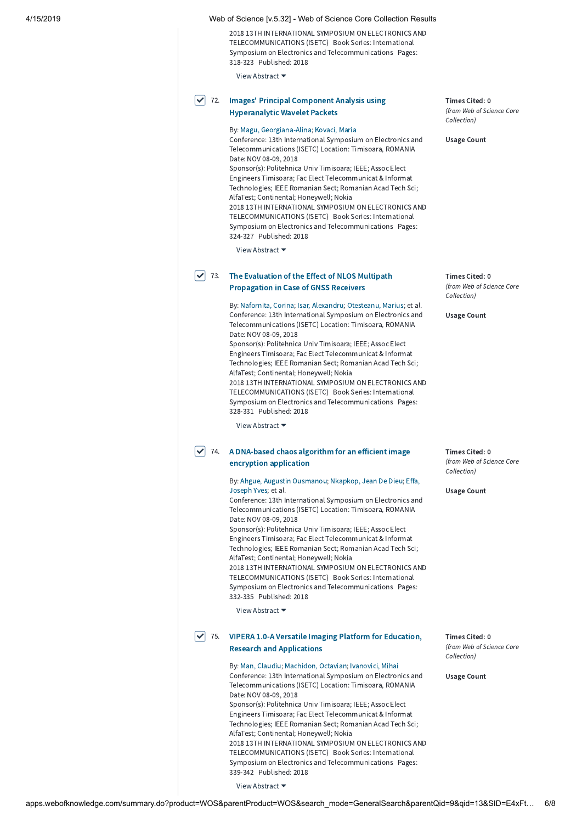2018 13TH INTERNATIONAL SYMPOSIUM ON ELECTRONICS AND TELECOMMUNICATIONS (ISETC) Book Series: International Symposium on Electronics and Telecommunications Pages: 318-323 Published: 2018

View Abstract ▼

# $\blacktriangledown$  72. Images' Principal Component Analysis using [Hyperanalytic](http://apps.webofknowledge.com/full_record.do?product=WOS&search_mode=GeneralSearch&qid=13&SID=E4xFtcjCxNYebEMTUJS&page=2&doc=72) Wavelet Packets

# By: Magu, [Georgiana-Alina;](http://apps.webofknowledge.com/OneClickSearch.do?product=WOS&search_mode=OneClickSearch&excludeEventConfig=ExcludeIfFromFullRecPage&colName=WOS&SID=E4xFtcjCxNYebEMTUJS&field=AU&value=Magu,%20Georgiana-Alina) [Kovaci,](http://apps.webofknowledge.com/OneClickSearch.do?product=WOS&search_mode=OneClickSearch&excludeEventConfig=ExcludeIfFromFullRecPage&colName=WOS&SID=E4xFtcjCxNYebEMTUJS&field=AU&value=Kovaci,%20Maria) Maria

Conference: 13th International Symposium on Electronics and Telecommunications (ISETC) Location: Timisoara, ROMANIA Date: NOV 08-09, 2018 Sponsor(s): Politehnica Univ Timisoara; IEEE; Assoc Elect Engineers Timisoara; Fac Elect Telecommunicat & Informat Technologies; IEEE Romanian Sect; Romanian Acad Tech Sci; AlfaTest; Continental; Honeywell; Nokia 2018 13TH INTERNATIONAL SYMPOSIUM ON ELECTRONICS AND TELECOMMUNICATIONS (ISETC) Book Series: International Symposium on Electronics and Telecommunications Pages: 324-327 Published: 2018

View Abstract ▼

## $\sqrt{ }$  73. The Evaluation of the Effect of NLOS Multipath [Propagation](http://apps.webofknowledge.com/full_record.do?product=WOS&search_mode=GeneralSearch&qid=13&SID=E4xFtcjCxNYebEMTUJS&page=2&doc=73) in Case of GNSS Receivers

By: [Nafornita,](http://apps.webofknowledge.com/OneClickSearch.do?product=WOS&search_mode=OneClickSearch&excludeEventConfig=ExcludeIfFromFullRecPage&colName=WOS&SID=E4xFtcjCxNYebEMTUJS&field=AU&value=Nafornita,%20Corina) Corina; Isar, [Alexandru;](http://apps.webofknowledge.com/OneClickSearch.do?product=WOS&search_mode=OneClickSearch&excludeEventConfig=ExcludeIfFromFullRecPage&colName=WOS&SID=E4xFtcjCxNYebEMTUJS&field=AU&value=Isar,%20Alexandru) [Otesteanu,](http://apps.webofknowledge.com/OneClickSearch.do?product=WOS&search_mode=OneClickSearch&excludeEventConfig=ExcludeIfFromFullRecPage&colName=WOS&SID=E4xFtcjCxNYebEMTUJS&field=AU&value=Otesteanu,%20Marius) Marius; et al. Conference: 13th International Symposium on Electronics and Telecommunications (ISETC) Location: Timisoara, ROMANIA Date: NOV 08-09, 2018

Sponsor(s): Politehnica Univ Timisoara; IEEE; Assoc Elect Engineers Timisoara; Fac Elect Telecommunicat & Informat Technologies; IEEE Romanian Sect; Romanian Acad Tech Sci; AlfaTest; Continental; Honeywell; Nokia 2018 13TH INTERNATIONAL SYMPOSIUM ON ELECTRONICS AND TELECOMMUNICATIONS (ISETC) Book Series: International

Symposium on Electronics and Telecommunications Pages: 328-331 Published: 2018

View Abstract ▼

# $\blacktriangledown$  74. A [DNA-based](http://apps.webofknowledge.com/full_record.do?product=WOS&search_mode=GeneralSearch&qid=13&SID=E4xFtcjCxNYebEMTUJS&page=2&doc=74) chaos algorithm for an efficient image encryption application

By: Ahgue, Augustin [Ousmanou](http://apps.webofknowledge.com/OneClickSearch.do?product=WOS&search_mode=OneClickSearch&excludeEventConfig=ExcludeIfFromFullRecPage&colName=WOS&SID=E4xFtcjCxNYebEMTUJS&field=AU&value=Ahgue,%20Augustin%20Ousmanou)[;](http://apps.webofknowledge.com/OneClickSearch.do?product=WOS&search_mode=OneClickSearch&excludeEventConfig=ExcludeIfFromFullRecPage&colName=WOS&SID=E4xFtcjCxNYebEMTUJS&field=AU&value=Effa,%20Joseph%20Yves) [Nkapkop,](http://apps.webofknowledge.com/OneClickSearch.do?product=WOS&search_mode=OneClickSearch&excludeEventConfig=ExcludeIfFromFullRecPage&colName=WOS&SID=E4xFtcjCxNYebEMTUJS&field=AU&value=Nkapkop,%20Jean%20De%20Dieu) Jean De Dieu; Effa, Joseph Yves; et al.

Conference: 13th International Symposium on Electronics and Telecommunications (ISETC) Location: Timisoara, ROMANIA Date: NOV 08-09, 2018

Sponsor(s): Politehnica Univ Timisoara; IEEE; Assoc Elect Engineers Timisoara; Fac Elect Telecommunicat & Informat Technologies; IEEE Romanian Sect; Romanian Acad Tech Sci; AlfaTest; Continental; Honeywell; Nokia

2018 13TH INTERNATIONAL SYMPOSIUM ON ELECTRONICS AND TELECOMMUNICATIONS (ISETC) Book Series: International Symposium on Electronics and Telecommunications Pages: 332-335 Published: 2018

View Abstract ▼

# $\blacktriangledown$  75. VIPERA 1.0-A Versatile Imaging Platform for [Education,](http://apps.webofknowledge.com/full_record.do?product=WOS&search_mode=GeneralSearch&qid=13&SID=E4xFtcjCxNYebEMTUJS&page=2&doc=75) Research and Applications

By: Man, [Claudiu](http://apps.webofknowledge.com/OneClickSearch.do?product=WOS&search_mode=OneClickSearch&excludeEventConfig=ExcludeIfFromFullRecPage&colName=WOS&SID=E4xFtcjCxNYebEMTUJS&field=AU&value=Man,%20Claudiu); [Machidon,](http://apps.webofknowledge.com/OneClickSearch.do?product=WOS&search_mode=OneClickSearch&excludeEventConfig=ExcludeIfFromFullRecPage&colName=WOS&SID=E4xFtcjCxNYebEMTUJS&field=AU&value=Machidon,%20Octavian) Octavian; [Ivanovici,](http://apps.webofknowledge.com/OneClickSearch.do?product=WOS&search_mode=OneClickSearch&excludeEventConfig=ExcludeIfFromFullRecPage&colName=WOS&SID=E4xFtcjCxNYebEMTUJS&field=AU&value=Ivanovici,%20Mihai) Mihai Conference: 13th International Symposium on Electronics and Telecommunications (ISETC) Location: Timisoara, ROMANIA Date: NOV 08-09, 2018 Sponsor(s): Politehnica Univ Timisoara; IEEE; Assoc Elect Engineers Timisoara; Fac Elect Telecommunicat & Informat Technologies; IEEE Romanian Sect; Romanian Acad Tech Sci; AlfaTest; Continental; Honeywell; Nokia 2018 13TH INTERNATIONAL SYMPOSIUM ON ELECTRONICS AND TELECOMMUNICATIONS (ISETC) Book Series: International Symposium on Electronics and Telecommunications Pages: 339-342 Published: 2018

Times Cited: 0 (from Web of Science Core Collection)

Usage Count

Times Cited: 0 (from Web of Science Core Collection)

Usage Count

Times Cited: 0 (from Web of Science Core Collection)

Usage Count

Times Cited: 0 (from Web of Science Core Collection)

Usage Count

View Abstract ▼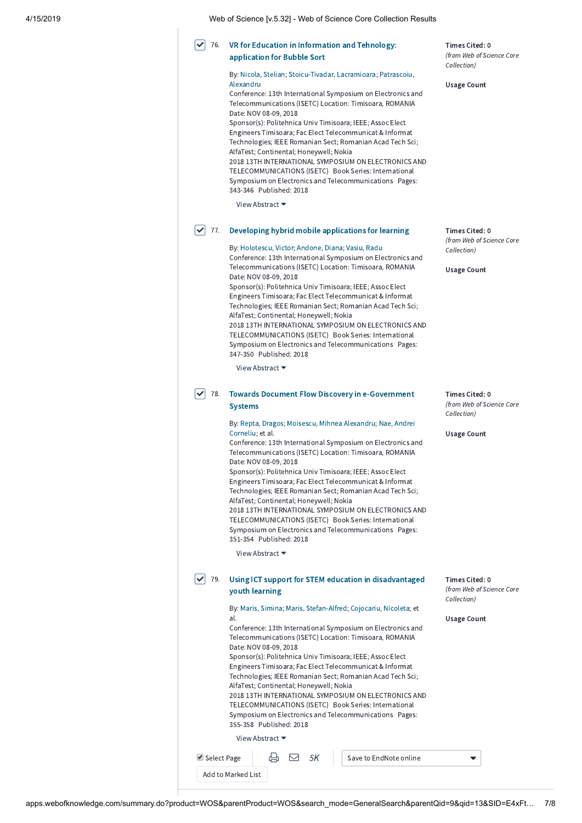| 4/15/2019 |                             | Web of Science [v.5.32] - Web of Science Core Collection Results                                                                                                                                                                                                                                                                                                                                                                                                                                                                                                                                                                                                                                                                                                                            |                         |
|-----------|-----------------------------|---------------------------------------------------------------------------------------------------------------------------------------------------------------------------------------------------------------------------------------------------------------------------------------------------------------------------------------------------------------------------------------------------------------------------------------------------------------------------------------------------------------------------------------------------------------------------------------------------------------------------------------------------------------------------------------------------------------------------------------------------------------------------------------------|-------------------------|
|           | 76.<br>✓                    | VR for Education in Information and Tehnology:<br>application for Bubble Sort<br>By: Nicola, Stelian; Stoicu-Tivadar, Lacramioara; Patrascoiu,<br>Alexandru<br>Conference: 13th International Symposium on Electronics and<br>Telecommunications (ISETC) Location: Timisoara, ROMANIA<br>Date: NOV 08-09, 2018<br>Sponsor(s): Politehnica Univ Timisoara; IEEE; Assoc Elect<br>Engineers Timisoara; Fac Elect Telecommunicat & Informat<br>Technologies; IEEE Romanian Sect; Romanian Acad Tech Sci;<br>AlfaTest; Continental; Honeywell; Nokia<br>2018 13TH INTERNATIONAL SYMPOSIUM ON ELECTRONICS AND<br>TELECOMMUNICATIONS (ISETC) Book Series: International<br>Symposium on Electronics and Telecommunications Pages:<br>343-346 Published: 2018<br>View Abstract ▼                    | Τiι<br>(fr<br>Cо<br>Us  |
|           | $\blacktriangledown$<br>77. | Developing hybrid mobile applications for learning<br>By: Holotescu, Victor; Andone, Diana; Vasiu, Radu<br>Conference: 13th International Symposium on Electronics and<br>Telecommunications (ISETC) Location: Timisoara, ROMANIA<br>Date: NOV 08-09, 2018<br>Sponsor(s): Politehnica Univ Timisoara; IEEE; Assoc Elect<br>Engineers Timisoara; Fac Elect Telecommunicat & Informat<br>Technologies; IEEE Romanian Sect; Romanian Acad Tech Sci;<br>AlfaTest; Continental; Honeywell; Nokia<br>2018 13TH INTERNATIONAL SYMPOSIUM ON ELECTRONICS AND<br>TELECOMMUNICATIONS (ISETC) Book Series: International<br>Symposium on Electronics and Telecommunications Pages:<br>347-350 Published: 2018<br>View Abstract ▼                                                                        | Τ'n<br>(fro<br>Cо<br>Us |
|           | 78.<br>✓                    | <b>Towards Document Flow Discovery in e-Government</b><br><b>Systems</b><br>By: Repta, Dragos; Moisescu, Mihnea Alexandru; Nae, Andrei<br>Corneliu; et al.<br>Conference: 13th International Symposium on Electronics and<br>Telecommunications (ISETC) Location: Timisoara, ROMANIA<br>Date: NOV 08-09, 2018<br>Sponsor(s): Politehnica Univ Timisoara; IEEE; Assoc Elect<br>Engineers Timisoara; Fac Elect Telecommunicat & Informat<br>Technologies; IEEE Romanian Sect; Romanian Acad Tech Sci;<br>AlfaTest; Continental; Honeywell; Nokia<br>2018 13TH INTERNATIONAL SYMPOSIUM ON ELECTRONICS AND<br>TELECOMMUNICATIONS (ISETC) Book Series: International<br>Symposium on Electronics and Telecommunications Pages:<br>351-354 Published: 2018<br>View Abstract $\blacktriangleright$ | Τiι<br>(fro<br>Cо<br>Us |
|           | 79.                         | Using ICT support for STEM education in disadvantaged<br>youth learning<br>By: Maris, Simina; Maris, Stefan-Alfred; Cojocariu, Nicoleta; et<br>al.<br>Conference: 13th International Symposium on Electronics and<br>Telecommunications (ISETC) Location: Timisoara, ROMANIA<br>Date: NOV 08-09, 2018<br>Sponsor(s): Politehnica Univ Timisoara; IEEE; Assoc Elect<br>Engineers Timisoara; Fac Elect Telecommunicat & Informat<br>Technologies: IEEE Romanian Sect: Romanian Acad Tech Sci:                                                                                                                                                                                                                                                                                                 | Tiı<br>(fro<br>Cо<br>Us |

Technologies; IEEE Romanian Sect; Romanian Acad Tech Sci; AlfaTest; Continental; Honeywell; Nokia 2018 13TH INTERNATIONAL SYMPOSIUM ON ELECTRONICS AND

TELECOMMUNICATIONS (ISETC) Book Series: International Symposium on Electronics and Telecommunications Pages: 355-358 Published: 2018

View Abstract ▼

 $\overline{\blacktriangledown}$ 

| Select Page        | 心 | 5K | Save to EndNote online |  |
|--------------------|---|----|------------------------|--|
| Add to Marked List |   |    |                        |  |

mes Cited: 0 om Web of Science Core llection)

sage Count

mes Cited: 0 om Web of Science Core Nection)

sage Count

mes Cited: 0 om Web of Science Core Nection)

sage Count

mes Cited: 0 om Web of Science Core dlection)